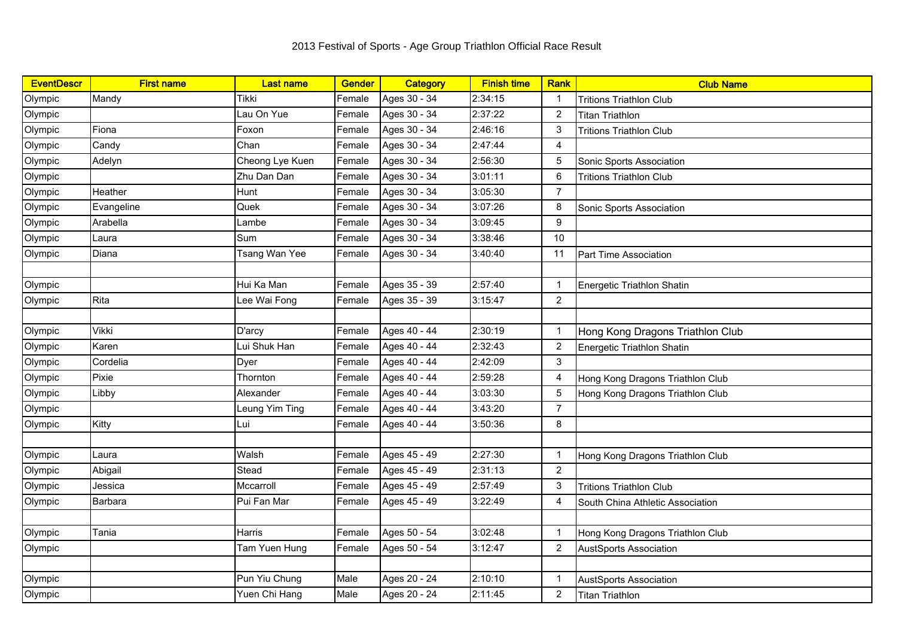| <b>EventDescr</b> | <b>First name</b> | <b>Last name</b> | <b>Gender</b> | <b>Category</b> | <b>Finish time</b> | Rank           | <b>Club Name</b>                 |
|-------------------|-------------------|------------------|---------------|-----------------|--------------------|----------------|----------------------------------|
| Olympic           | Mandy             | Tikki            | Female        | Ages 30 - 34    | 2:34:15            | $\mathbf{1}$   | <b>Tritions Triathlon Club</b>   |
| Olympic           |                   | Lau On Yue       | Female        | Ages 30 - 34    | 2:37:22            | $\overline{2}$ | <b>Titan Triathlon</b>           |
| Olympic           | Fiona             | Foxon            | Female        | Ages 30 - 34    | 2:46:16            | 3              | <b>Tritions Triathlon Club</b>   |
| Olympic           | Candy             | Chan             | Female        | Ages 30 - 34    | 2:47:44            | 4              |                                  |
| Olympic           | Adelyn            | Cheong Lye Kuen  | Female        | Ages 30 - 34    | 2:56:30            | 5              | Sonic Sports Association         |
| Olympic           |                   | Zhu Dan Dan      | Female        | Ages 30 - 34    | 3:01:11            | 6              | <b>Tritions Triathlon Club</b>   |
| Olympic           | Heather           | Hunt             | Female        | Ages 30 - 34    | 3:05:30            | $\overline{7}$ |                                  |
| Olympic           | Evangeline        | Quek             | Female        | Ages 30 - 34    | 3:07:26            | 8              | Sonic Sports Association         |
| Olympic           | Arabella          | Lambe            | Female        | Ages 30 - 34    | 3:09:45            | 9              |                                  |
| Olympic           | Laura             | Sum              | Female        | Ages 30 - 34    | 3:38:46            | 10             |                                  |
| Olympic           | Diana             | Tsang Wan Yee    | Female        | Ages 30 - 34    | 3:40:40            | 11             | Part Time Association            |
|                   |                   |                  |               |                 |                    |                |                                  |
| Olympic           |                   | Hui Ka Man       | Female        | Ages 35 - 39    | 2:57:40            | $\mathbf{1}$   | Energetic Triathlon Shatin       |
| Olympic           | Rita              | Lee Wai Fong     | Female        | Ages 35 - 39    | 3:15:47            | $\overline{2}$ |                                  |
|                   |                   |                  |               |                 |                    |                |                                  |
| Olympic           | Vikki             | D'arcy           | Female        | Ages 40 - 44    | 2:30:19            | $\mathbf{1}$   | Hong Kong Dragons Triathlon Club |
| Olympic           | Karen             | Lui Shuk Han     | Female        | Ages 40 - 44    | 2:32:43            | $\overline{2}$ | Energetic Triathlon Shatin       |
| Olympic           | Cordelia          | Dyer             | Female        | Ages 40 - 44    | 2:42:09            | 3              |                                  |
| Olympic           | Pixie             | Thornton         | Female        | Ages 40 - 44    | 2:59:28            | 4              | Hong Kong Dragons Triathlon Club |
| Olympic           | Libby             | Alexander        | Female        | Ages 40 - 44    | 3:03:30            | $\overline{5}$ | Hong Kong Dragons Triathlon Club |
| Olympic           |                   | Leung Yim Ting   | Female        | Ages 40 - 44    | 3:43:20            | $\overline{7}$ |                                  |
| Olympic           | Kitty             | Lui              | Female        | Ages 40 - 44    | 3:50:36            | 8              |                                  |
|                   |                   |                  |               |                 |                    |                |                                  |
| Olympic           | Laura             | Walsh            | Female        | Ages 45 - 49    | 2:27:30            | $\mathbf{1}$   | Hong Kong Dragons Triathlon Club |
| Olympic           | Abigail           | Stead            | Female        | Ages 45 - 49    | 2:31:13            | $\overline{2}$ |                                  |
| Olympic           | Jessica           | Mccarroll        | Female        | Ages 45 - 49    | 2:57:49            | 3              | <b>Tritions Triathlon Club</b>   |
| Olympic           | Barbara           | Pui Fan Mar      | Female        | Ages 45 - 49    | 3:22:49            | 4              | South China Athletic Association |
|                   |                   |                  |               |                 |                    |                |                                  |
| Olympic           | Tania             | Harris           | Female        | Ages 50 - 54    | 3:02:48            | $\mathbf{1}$   | Hong Kong Dragons Triathlon Club |
| Olympic           |                   | Tam Yuen Hung    | Female        | Ages 50 - 54    | 3:12:47            | $\overline{2}$ | <b>AustSports Association</b>    |
|                   |                   |                  |               |                 |                    |                |                                  |
| Olympic           |                   | Pun Yiu Chung    | Male          | Ages 20 - 24    | 2:10:10            | -1             | <b>AustSports Association</b>    |
| Olympic           |                   | Yuen Chi Hang    | Male          | Ages 20 - 24    | 2:11:45            | $\overline{2}$ | <b>Titan Triathlon</b>           |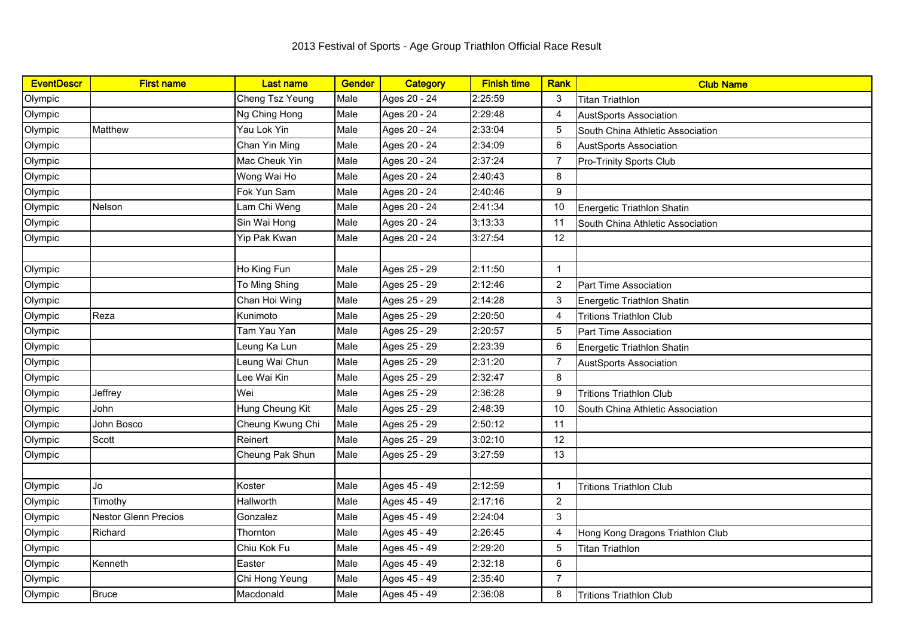| <b>EventDescr</b> | <b>First name</b>           | <b>Last name</b> | <b>Gender</b> | Category     | <b>Finish time</b> | Rank              | <b>Club Name</b>                  |
|-------------------|-----------------------------|------------------|---------------|--------------|--------------------|-------------------|-----------------------------------|
| Olympic           |                             | Cheng Tsz Yeung  | Male          | Ages 20 - 24 | 2:25:59            | 3                 | <b>Titan Triathlon</b>            |
| Olympic           |                             | Ng Ching Hong    | Male          | Ages 20 - 24 | 2:29:48            | 4                 | <b>AustSports Association</b>     |
| Olympic           | Matthew                     | Yau Lok Yin      | Male          | Ages 20 - 24 | 2:33:04            | 5                 | South China Athletic Association  |
| Olympic           |                             | Chan Yin Ming    | Male          | Ages 20 - 24 | 2:34:09            | 6                 | <b>AustSports Association</b>     |
| Olympic           |                             | Mac Cheuk Yin    | Male          | Ages 20 - 24 | 2:37:24            | 7                 | Pro-Trinity Sports Club           |
| Olympic           |                             | Wong Wai Ho      | Male          | Ages 20 - 24 | 2:40:43            | 8                 |                                   |
| Olympic           |                             | Fok Yun Sam      | Male          | Ages 20 - 24 | 2:40:46            | 9                 |                                   |
| Olympic           | Nelson                      | Lam Chi Weng     | Male          | Ages 20 - 24 | 2:41:34            | 10                | Energetic Triathlon Shatin        |
| Olympic           |                             | Sin Wai Hong     | Male          | Ages 20 - 24 | 3:13:33            | 11                | South China Athletic Association  |
| Olympic           |                             | Yip Pak Kwan     | Male          | Ages 20 - 24 | 3:27:54            | $12 \overline{ }$ |                                   |
|                   |                             |                  |               |              |                    |                   |                                   |
| Olympic           |                             | Ho King Fun      | Male          | Ages 25 - 29 | 2:11:50            | $\overline{1}$    |                                   |
| Olympic           |                             | To Ming Shing    | Male          | Ages 25 - 29 | 2:12:46            | $\overline{2}$    | Part Time Association             |
| Olympic           |                             | Chan Hoi Wing    | Male          | Ages 25 - 29 | 2:14:28            | 3                 | Energetic Triathlon Shatin        |
| Olympic           | Reza                        | Kunimoto         | Male          | Ages 25 - 29 | 2:20:50            | 4                 | <b>Tritions Triathlon Club</b>    |
| Olympic           |                             | Tam Yau Yan      | Male          | Ages 25 - 29 | 2:20:57            | 5                 | Part Time Association             |
| Olympic           |                             | Leung Ka Lun     | Male          | Ages 25 - 29 | 2:23:39            | 6                 | <b>Energetic Triathlon Shatin</b> |
| Olympic           |                             | Leung Wai Chun   | Male          | Ages 25 - 29 | 2:31:20            | $\overline{7}$    | <b>AustSports Association</b>     |
| Olympic           |                             | Lee Wai Kin      | Male          | Ages 25 - 29 | 2:32:47            | 8                 |                                   |
| Olympic           | Jeffrey                     | Wei              | Male          | Ages 25 - 29 | 2:36:28            | 9                 | <b>Tritions Triathlon Club</b>    |
| Olympic           | John                        | Hung Cheung Kit  | Male          | Ages 25 - 29 | 2:48:39            | 10                | South China Athletic Association  |
| Olympic           | John Bosco                  | Cheung Kwung Chi | Male          | Ages 25 - 29 | 2:50:12            | 11                |                                   |
| Olympic           | Scott                       | Reinert          | Male          | Ages 25 - 29 | 3:02:10            | 12                |                                   |
| Olympic           |                             | Cheung Pak Shun  | Male          | Ages 25 - 29 | 3:27:59            | 13                |                                   |
|                   |                             |                  |               |              |                    |                   |                                   |
| Olympic           | Jo                          | Koster           | Male          | Ages 45 - 49 | 2:12:59            | $\mathbf{1}$      | <b>Tritions Triathlon Club</b>    |
| Olympic           | Timothy                     | Hallworth        | Male          | Ages 45 - 49 | 2:17:16            | $\overline{2}$    |                                   |
| Olympic           | <b>Nestor Glenn Precios</b> | Gonzalez         | Male          | Ages 45 - 49 | 2:24:04            | 3                 |                                   |
| Olympic           | Richard                     | Thornton         | Male          | Ages 45 - 49 | 2:26:45            | 4                 | Hong Kong Dragons Triathlon Club  |
| Olympic           |                             | Chiu Kok Fu      | Male          | Ages 45 - 49 | 2:29:20            | 5                 | <b>Titan Triathlon</b>            |
| Olympic           | Kenneth                     | Easter           | Male          | Ages 45 - 49 | 2:32:18            | 6                 |                                   |
| Olympic           |                             | Chi Hong Yeung   | Male          | Ages 45 - 49 | 2:35:40            | $\overline{7}$    |                                   |
| Olympic           | <b>Bruce</b>                | Macdonald        | Male          | Ages 45 - 49 | 2:36:08            | 8                 | <b>Tritions Triathlon Club</b>    |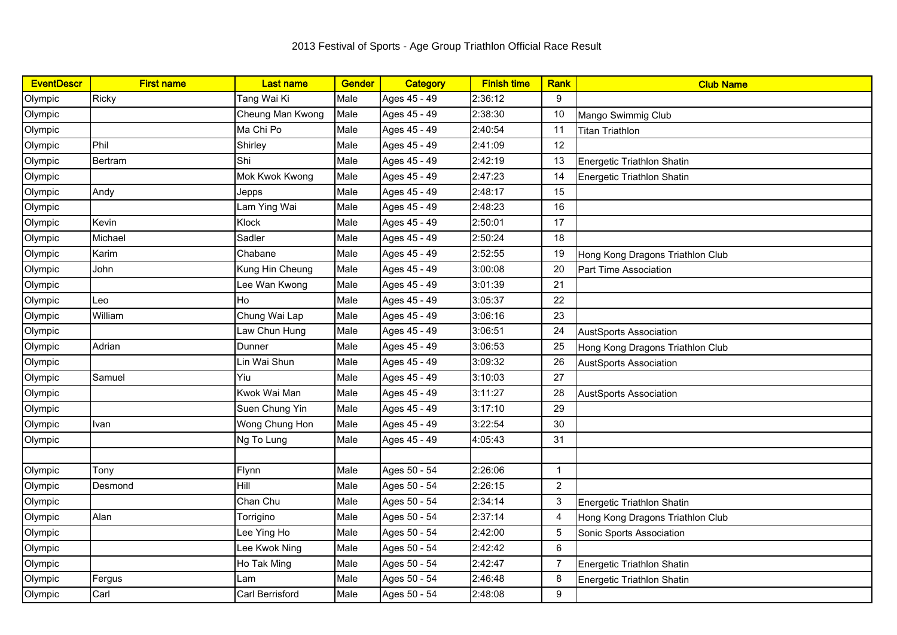| <b>EventDescr</b> | <b>First name</b> | <b>Last name</b> | Gender | <b>Category</b> | <b>Finish time</b> | <b>Rank</b>    | <b>Club Name</b>                 |
|-------------------|-------------------|------------------|--------|-----------------|--------------------|----------------|----------------------------------|
| Olympic           | <b>Ricky</b>      | Tang Wai Ki      | Male   | Ages 45 - 49    | 2:36:12            | 9              |                                  |
| Olympic           |                   | Cheung Man Kwong | Male   | Ages 45 - 49    | 2:38:30            | 10             | Mango Swimmig Club               |
| Olympic           |                   | Ma Chi Po        | Male   | Ages 45 - 49    | 2:40:54            | 11             | <b>Titan Triathlon</b>           |
| Olympic           | Phil              | Shirley          | Male   | Ages 45 - 49    | 2:41:09            | 12             |                                  |
| Olympic           | Bertram           | Shi              | Male   | Ages 45 - 49    | 2:42:19            | 13             | Energetic Triathlon Shatin       |
| Olympic           |                   | Mok Kwok Kwong   | Male   | Ages 45 - 49    | 2:47:23            | 14             | Energetic Triathlon Shatin       |
| Olympic           | Andy              | Jepps            | Male   | Ages 45 - 49    | 2:48:17            | 15             |                                  |
| Olympic           |                   | Lam Ying Wai     | Male   | Ages 45 - 49    | 2:48:23            | 16             |                                  |
| Olympic           | Kevin             | Klock            | Male   | Ages 45 - 49    | 2:50:01            | 17             |                                  |
| Olympic           | Michael           | Sadler           | Male   | Ages 45 - 49    | 2:50:24            | 18             |                                  |
| Olympic           | Karim             | Chabane          | Male   | Ages 45 - 49    | 2:52:55            | 19             | Hong Kong Dragons Triathlon Club |
| Olympic           | John              | Kung Hin Cheung  | Male   | Ages 45 - 49    | 3:00:08            | 20             | Part Time Association            |
| Olympic           |                   | Lee Wan Kwong    | Male   | Ages 45 - 49    | 3:01:39            | 21             |                                  |
| Olympic           | Leo               | Ho               | Male   | Ages 45 - 49    | 3:05:37            | 22             |                                  |
| Olympic           | William           | Chung Wai Lap    | Male   | Ages 45 - 49    | 3:06:16            | 23             |                                  |
| Olympic           |                   | Law Chun Hung    | Male   | Ages 45 - 49    | 3:06:51            | 24             | <b>AustSports Association</b>    |
| Olympic           | Adrian            | Dunner           | Male   | Ages 45 - 49    | 3:06:53            | 25             | Hong Kong Dragons Triathlon Club |
| Olympic           |                   | Lin Wai Shun     | Male   | Ages 45 - 49    | 3:09:32            | 26             | <b>AustSports Association</b>    |
| Olympic           | Samuel            | Yiu              | Male   | Ages 45 - 49    | 3:10:03            | 27             |                                  |
| Olympic           |                   | Kwok Wai Man     | Male   | Ages 45 - 49    | 3:11:27            | 28             | <b>AustSports Association</b>    |
| Olympic           |                   | Suen Chung Yin   | Male   | Ages 45 - 49    | 3:17:10            | 29             |                                  |
| Olympic           | Ivan              | Wong Chung Hon   | Male   | Ages 45 - 49    | 3:22:54            | 30             |                                  |
| Olympic           |                   | Ng To Lung       | Male   | Ages 45 - 49    | 4:05:43            | 31             |                                  |
|                   |                   |                  |        |                 |                    |                |                                  |
| Olympic           | Tony              | Flynn            | Male   | Ages 50 - 54    | 2:26:06            | $\mathbf{1}$   |                                  |
| Olympic           | Desmond           | Hill             | Male   | Ages 50 - 54    | 2:26:15            | $\overline{2}$ |                                  |
| Olympic           |                   | Chan Chu         | Male   | Ages 50 - 54    | 2:34:14            | 3              | Energetic Triathlon Shatin       |
| Olympic           | Alan              | Torrigino        | Male   | Ages 50 - 54    | 2:37:14            | $\overline{4}$ | Hong Kong Dragons Triathlon Club |
| Olympic           |                   | Lee Ying Ho      | Male   | Ages 50 - 54    | 2:42:00            | 5              | Sonic Sports Association         |
| Olympic           |                   | ee Kwok Ning     | Male   | Ages 50 - 54    | 2:42:42            | 6              |                                  |
| Olympic           |                   | Ho Tak Ming      | Male   | Ages 50 - 54    | 2:42:47            | $\overline{7}$ | Energetic Triathlon Shatin       |
| Olympic           | Fergus            | Lam              | Male   | Ages 50 - 54    | 2:46:48            | 8              | Energetic Triathlon Shatin       |
| Olympic           | Carl              | Carl Berrisford  | Male   | Ages 50 - 54    | 2:48:08            | 9              |                                  |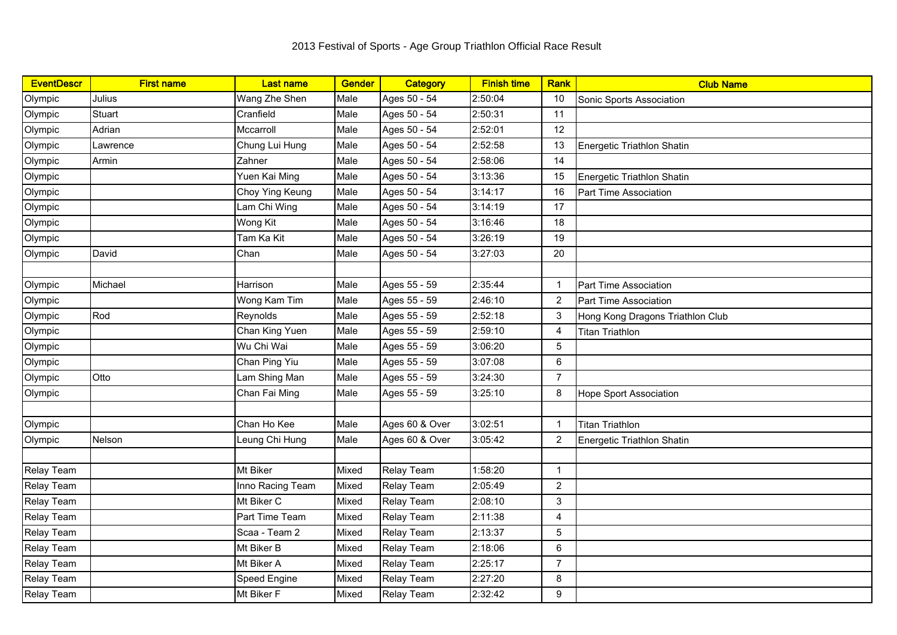| <b>EventDescr</b> | <b>First name</b> | <b>Last name</b> | <b>Gender</b> | <b>Category</b> | <b>Finish time</b> | Rank           | <b>Club Name</b>                 |
|-------------------|-------------------|------------------|---------------|-----------------|--------------------|----------------|----------------------------------|
| Olympic           | Julius            | Wang Zhe Shen    | Male          | Ages 50 - 54    | 2:50:04            | 10             | Sonic Sports Association         |
| Olympic           | Stuart            | Cranfield        | Male          | Ages 50 - 54    | 2:50:31            | 11             |                                  |
| Olympic           | Adrian            | Mccarroll        | Male          | Ages 50 - 54    | 2:52:01            | 12             |                                  |
| Olympic           | _awrence          | Chung Lui Hung   | Male          | Ages 50 - 54    | 2:52:58            | 13             | Energetic Triathlon Shatin       |
| Olympic           | Armin             | Zahner           | Male          | Ages 50 - 54    | 2:58:06            | 14             |                                  |
| Olympic           |                   | Yuen Kai Ming    | Male          | Ages 50 - 54    | 3:13:36            | 15             | Energetic Triathlon Shatin       |
| Olympic           |                   | Choy Ying Keung  | Male          | Ages 50 - 54    | 3:14:17            | 16             | Part Time Association            |
| Olympic           |                   | Lam Chi Wing     | Male          | Ages 50 - 54    | 3:14:19            | 17             |                                  |
| Olympic           |                   | Wong Kit         | Male          | Ages 50 - 54    | 3:16:46            | 18             |                                  |
| Olympic           |                   | Tam Ka Kit       | Male          | Ages 50 - 54    | 3:26:19            | 19             |                                  |
| Olympic           | David             | Chan             | Male          | Ages 50 - 54    | 3:27:03            | 20             |                                  |
|                   |                   |                  |               |                 |                    |                |                                  |
| Olympic           | Michael           | Harrison         | Male          | Ages 55 - 59    | 2:35:44            | $\mathbf{1}$   | Part Time Association            |
| Olympic           |                   | Wong Kam Tim     | Male          | Ages 55 - 59    | 2:46:10            | $\overline{2}$ | Part Time Association            |
| Olympic           | Rod               | Reynolds         | Male          | Ages 55 - 59    | 2:52:18            | 3              | Hong Kong Dragons Triathlon Club |
| Olympic           |                   | Chan King Yuen   | Male          | Ages 55 - 59    | 2:59:10            | 4              | <b>Titan Triathlon</b>           |
| Olympic           |                   | Wu Chi Wai       | Male          | Ages 55 - 59    | 3:06:20            | 5              |                                  |
| Olympic           |                   | Chan Ping Yiu    | Male          | Ages 55 - 59    | 3:07:08            | 6              |                                  |
| Olympic           | Otto              | Lam Shing Man    | Male          | Ages 55 - 59    | 3:24:30            | $\overline{7}$ |                                  |
| Olympic           |                   | Chan Fai Ming    | Male          | Ages 55 - 59    | 3:25:10            | 8              | <b>Hope Sport Association</b>    |
|                   |                   |                  |               |                 |                    |                |                                  |
| Olympic           |                   | Chan Ho Kee      | Male          | Ages 60 & Over  | 3:02:51            | $\mathbf{1}$   | <b>Titan Triathlon</b>           |
| Olympic           | Nelson            | Leung Chi Hung   | Male          | Ages 60 & Over  | 3:05:42            | $\overline{2}$ | Energetic Triathlon Shatin       |
|                   |                   |                  |               |                 |                    |                |                                  |
| Relay Team        |                   | Mt Biker         | Mixed         | Relay Team      | 1:58:20            | $\mathbf{1}$   |                                  |
| Relay Team        |                   | Inno Racing Team | Mixed         | Relay Team      | 2:05:49            | $\overline{2}$ |                                  |
| Relay Team        |                   | Mt Biker C       | Mixed         | Relay Team      | 2:08:10            | $\sqrt{3}$     |                                  |
| Relay Team        |                   | Part Time Team   | Mixed         | Relay Team      | 2:11:38            | 4              |                                  |
| Relay Team        |                   | Scaa - Team 2    | Mixed         | Relay Team      | 2:13:37            | 5              |                                  |
| Relay Team        |                   | Mt Biker B       | Mixed         | Relay Team      | 2:18:06            | $\,6\,$        |                                  |
| Relay Team        |                   | Mt Biker A       | Mixed         | Relay Team      | 2:25:17            | $\overline{7}$ |                                  |
| Relay Team        |                   | Speed Engine     | Mixed         | Relay Team      | 2:27:20            | 8              |                                  |
| Relay Team        |                   | Mt Biker F       | Mixed         | Relay Team      | 2:32:42            | 9              |                                  |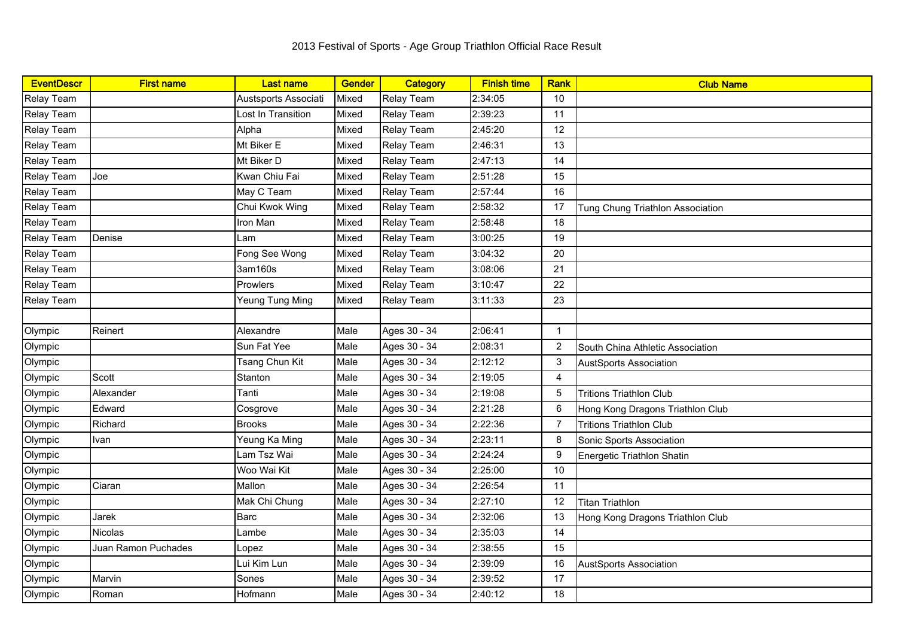| <b>EventDescr</b> | <b>First name</b>   | <b>Last name</b>     | <b>Gender</b> | Category          | <b>Finish time</b> | <b>Rank</b>    | <b>Club Name</b>                 |
|-------------------|---------------------|----------------------|---------------|-------------------|--------------------|----------------|----------------------------------|
| Relay Team        |                     | Austsports Associati | Mixed         | Relay Team        | 2:34:05            | 10             |                                  |
| Relay Team        |                     | Lost In Transition   | Mixed         | Relay Team        | 2:39:23            | 11             |                                  |
| Relay Team        |                     | Alpha                | Mixed         | <b>Relay Team</b> | 2:45:20            | 12             |                                  |
| Relay Team        |                     | Mt Biker E           | Mixed         | <b>Relay Team</b> | 2:46:31            | 13             |                                  |
| Relay Team        |                     | Mt Biker D           | Mixed         | <b>Relay Team</b> | 2:47:13            | 14             |                                  |
| Relay Team        | Joe                 | Kwan Chiu Fai        | Mixed         | <b>Relay Team</b> | 2:51:28            | 15             |                                  |
| Relay Team        |                     | May C Team           | Mixed         | <b>Relay Team</b> | 2:57:44            | 16             |                                  |
| Relay Team        |                     | Chui Kwok Wing       | Mixed         | <b>Relay Team</b> | 2:58:32            | 17             | Tung Chung Triathlon Association |
| <b>Relay Team</b> |                     | Iron Man             | Mixed         | <b>Relay Team</b> | 2:58:48            | 18             |                                  |
| <b>Relay Team</b> | Denise              | Lam                  | Mixed         | <b>Relay Team</b> | 3:00:25            | 19             |                                  |
| Relay Team        |                     | Fong See Wong        | Mixed         | <b>Relay Team</b> | 3:04:32            | 20             |                                  |
| Relay Team        |                     | 3am160s              | Mixed         | Relay Team        | 3:08:06            | 21             |                                  |
| Relay Team        |                     | Prowlers             | Mixed         | <b>Relay Team</b> | 3:10:47            | 22             |                                  |
| <b>Relay Team</b> |                     | Yeung Tung Ming      | Mixed         | <b>Relay Team</b> | 3:11:33            | 23             |                                  |
|                   |                     |                      |               |                   |                    |                |                                  |
| Olympic           | Reinert             | Alexandre            | Male          | Ages 30 - 34      | 2:06:41            | $\overline{1}$ |                                  |
| Olympic           |                     | Sun Fat Yee          | Male          | Ages 30 - 34      | 2:08:31            | $\overline{2}$ | South China Athletic Association |
| Olympic           |                     | Tsang Chun Kit       | Male          | Ages 30 - 34      | 2:12:12            | $\sqrt{3}$     | <b>AustSports Association</b>    |
| Olympic           | Scott               | Stanton              | Male          | Ages 30 - 34      | 2:19:05            | $\overline{4}$ |                                  |
| Olympic           | Alexander           | Tanti                | Male          | Ages 30 - 34      | 2:19:08            | 5              | <b>Tritions Triathlon Club</b>   |
| Olympic           | Edward              | Cosgrove             | Male          | Ages 30 - 34      | 2:21:28            | 6              | Hong Kong Dragons Triathlon Club |
| Olympic           | Richard             | <b>Brooks</b>        | Male          | Ages 30 - 34      | 2:22:36            | 7              | <b>Tritions Triathlon Club</b>   |
| Olympic           | Ivan                | Yeung Ka Ming        | Male          | Ages 30 - 34      | 2:23:11            | 8              | Sonic Sports Association         |
| Olympic           |                     | Lam Tsz Wai          | Male          | Ages 30 - 34      | 2:24:24            | 9              | Energetic Triathlon Shatin       |
| Olympic           |                     | Woo Wai Kit          | Male          | Ages 30 - 34      | 2:25:00            | 10             |                                  |
| Olympic           | Ciaran              | Mallon               | Male          | Ages 30 - 34      | 2:26:54            | 11             |                                  |
| Olympic           |                     | Mak Chi Chung        | Male          | Ages 30 - 34      | 2:27:10            | 12             | <b>Titan Triathlon</b>           |
| Olympic           | Jarek               | <b>Barc</b>          | Male          | Ages 30 - 34      | 2:32:06            | 13             | Hong Kong Dragons Triathlon Club |
| Olympic           | <b>Nicolas</b>      | Lambe                | Male          | Ages 30 - 34      | 2:35:03            | 14             |                                  |
| Olympic           | Juan Ramon Puchades | Lopez                | Male          | Ages 30 - 34      | 2:38:55            | 15             |                                  |
| Olympic           |                     | Lui Kim Lun          | Male          | Ages 30 - 34      | 2:39:09            | 16             | <b>AustSports Association</b>    |
| Olympic           | Marvin              | Sones                | Male          | Ages 30 - 34      | 2:39:52            | 17             |                                  |
| Olympic           | Roman               | Hofmann              | Male          | Ages 30 - 34      | 2:40:12            | 18             |                                  |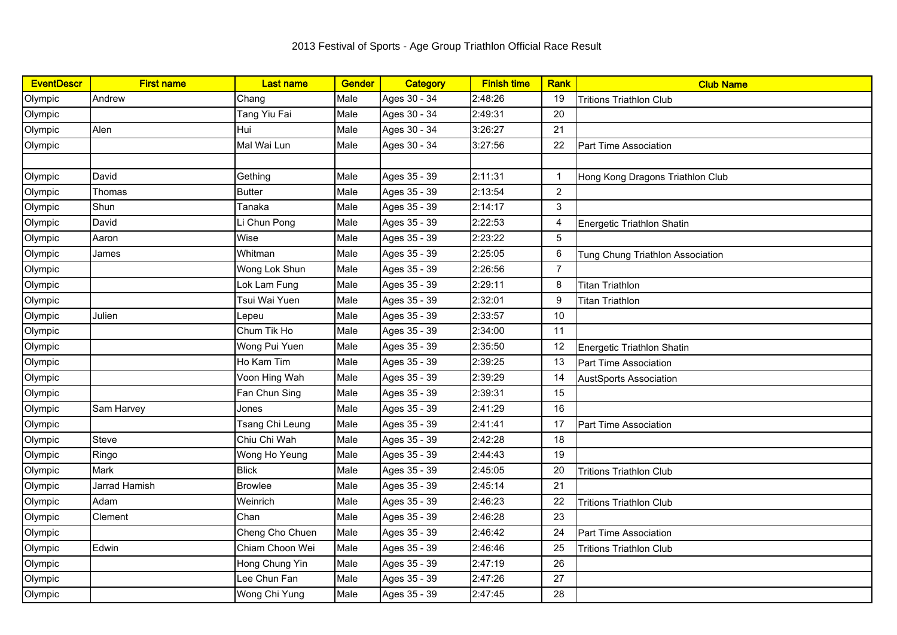| <b>EventDescr</b> | <b>First name</b> | <b>Last name</b> | <b>Gender</b> | <b>Category</b> | <b>Finish time</b> | <b>Rank</b>    | <b>Club Name</b>                 |
|-------------------|-------------------|------------------|---------------|-----------------|--------------------|----------------|----------------------------------|
| Olympic           | Andrew            | Chang            | Male          | Ages 30 - 34    | 2:48:26            | 19             | <b>Tritions Triathlon Club</b>   |
| Olympic           |                   | Tang Yiu Fai     | Male          | Ages 30 - 34    | 2:49:31            | 20             |                                  |
| Olympic           | Alen              | Hui              | Male          | Ages 30 - 34    | 3:26:27            | 21             |                                  |
| Olympic           |                   | Mal Wai Lun      | Male          | Ages 30 - 34    | 3:27:56            | 22             | Part Time Association            |
|                   |                   |                  |               |                 |                    |                |                                  |
| Olympic           | David             | Gething          | Male          | Ages 35 - 39    | 2:11:31            | $\mathbf{1}$   | Hong Kong Dragons Triathlon Club |
| Olympic           | Thomas            | <b>Butter</b>    | Male          | Ages 35 - 39    | 2:13:54            | $\overline{2}$ |                                  |
| Olympic           | Shun              | Tanaka           | Male          | Ages 35 - 39    | 2:14:17            | 3              |                                  |
| Olympic           | David             | Li Chun Pong     | Male          | Ages 35 - 39    | 2:22:53            | $\overline{4}$ | Energetic Triathlon Shatin       |
| Olympic           | Aaron             | Wise             | Male          | Ages 35 - 39    | 2:23:22            | 5              |                                  |
| Olympic           | James             | Whitman          | Male          | Ages 35 - 39    | 2:25:05            | 6              | Tung Chung Triathlon Association |
| Olympic           |                   | Wong Lok Shun    | Male          | Ages 35 - 39    | 2:26:56            | $\overline{7}$ |                                  |
| Olympic           |                   | Lok Lam Fung     | Male          | Ages 35 - 39    | 2:29:11            | 8              | <b>Titan Triathlon</b>           |
| Olympic           |                   | Tsui Wai Yuen    | Male          | Ages 35 - 39    | 2:32:01            | 9              | <b>Titan Triathlon</b>           |
| Olympic           | Julien            | Lepeu            | Male          | Ages 35 - 39    | 2:33:57            | 10             |                                  |
| Olympic           |                   | Chum Tik Ho      | Male          | Ages 35 - 39    | 2:34:00            | 11             |                                  |
| Olympic           |                   | Wong Pui Yuen    | Male          | Ages 35 - 39    | 2:35:50            | 12             | Energetic Triathlon Shatin       |
| Olympic           |                   | Ho Kam Tim       | Male          | Ages 35 - 39    | 2:39:25            | 13             | Part Time Association            |
| Olympic           |                   | Voon Hing Wah    | Male          | Ages 35 - 39    | 2:39:29            | 14             | <b>AustSports Association</b>    |
| Olympic           |                   | Fan Chun Sing    | Male          | Ages 35 - 39    | 2:39:31            | 15             |                                  |
| Olympic           | Sam Harvey        | Jones            | Male          | Ages 35 - 39    | 2:41:29            | 16             |                                  |
| Olympic           |                   | Tsang Chi Leung  | Male          | Ages 35 - 39    | 2:41:41            | 17             | Part Time Association            |
| Olympic           | Steve             | Chiu Chi Wah     | Male          | Ages 35 - 39    | 2:42:28            | 18             |                                  |
| Olympic           | Ringo             | Wong Ho Yeung    | Male          | Ages 35 - 39    | 2:44:43            | 19             |                                  |
| Olympic           | Mark              | <b>Blick</b>     | Male          | Ages 35 - 39    | 2:45:05            | 20             | <b>Tritions Triathlon Club</b>   |
| Olympic           | Jarrad Hamish     | <b>Browlee</b>   | Male          | Ages 35 - 39    | 2:45:14            | 21             |                                  |
| Olympic           | Adam              | Weinrich         | Male          | Ages 35 - 39    | 2:46:23            | 22             | <b>Tritions Triathlon Club</b>   |
| Olympic           | Clement           | Chan             | Male          | Ages 35 - 39    | 2:46:28            | 23             |                                  |
| Olympic           |                   | Cheng Cho Chuen  | Male          | Ages 35 - 39    | 2:46:42            | 24             | Part Time Association            |
| Olympic           | Edwin             | Chiam Choon Wei  | Male          | Ages 35 - 39    | 2:46:46            | 25             | <b>Tritions Triathlon Club</b>   |
| Olympic           |                   | Hong Chung Yin   | Male          | Ages 35 - 39    | 2:47:19            | 26             |                                  |
| Olympic           |                   | Lee Chun Fan     | Male          | Ages 35 - 39    | 2:47:26            | 27             |                                  |
| Olympic           |                   | Wong Chi Yung    | Male          | Ages 35 - 39    | 2:47:45            | 28             |                                  |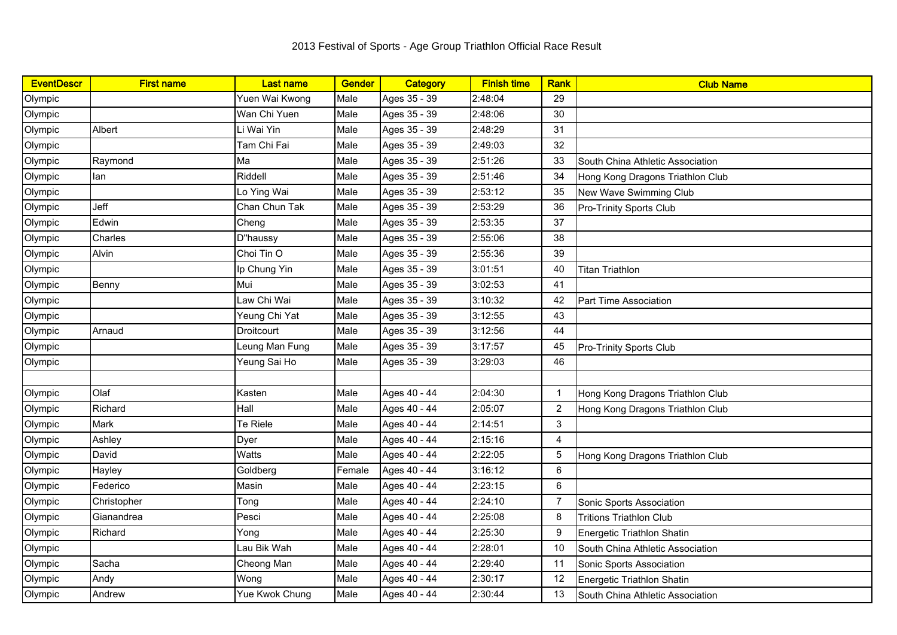| <b>EventDescr</b> | <b>First name</b> | <b>Last name</b> | <b>Gender</b> | Category     | <b>Finish time</b> | Rank           | <b>Club Name</b>                 |
|-------------------|-------------------|------------------|---------------|--------------|--------------------|----------------|----------------------------------|
| Olympic           |                   | Yuen Wai Kwong   | Male          | Ages 35 - 39 | 2:48:04            | 29             |                                  |
| Olympic           |                   | Wan Chi Yuen     | Male          | Ages 35 - 39 | 2:48:06            | 30             |                                  |
| Olympic           | Albert            | Li Wai Yin       | Male          | Ages 35 - 39 | 2:48:29            | 31             |                                  |
| Olympic           |                   | Tam Chi Fai      | Male          | Ages 35 - 39 | 2:49:03            | 32             |                                  |
| Olympic           | Raymond           | Ma               | Male          | Ages 35 - 39 | 2:51:26            | 33             | South China Athletic Association |
| Olympic           | lan               | Riddell          | Male          | Ages 35 - 39 | 2:51:46            | 34             | Hong Kong Dragons Triathlon Club |
| Olympic           |                   | Lo Ying Wai      | Male          | Ages 35 - 39 | 2:53:12            | 35             | New Wave Swimming Club           |
| Olympic           | Jeff              | Chan Chun Tak    | Male          | Ages 35 - 39 | 2:53:29            | 36             | <b>Pro-Trinity Sports Club</b>   |
| Olympic           | Edwin             | Cheng            | Male          | Ages 35 - 39 | 2:53:35            | 37             |                                  |
| Olympic           | Charles           | D"haussy         | Male          | Ages 35 - 39 | 2:55:06            | 38             |                                  |
| Olympic           | Alvin             | Choi Tin O       | Male          | Ages 35 - 39 | 2:55:36            | 39             |                                  |
| Olympic           |                   | Ip Chung Yin     | Male          | Ages 35 - 39 | 3:01:51            | 40             | <b>Titan Triathlon</b>           |
| Olympic           | Benny             | Mui              | Male          | Ages 35 - 39 | 3:02:53            | 41             |                                  |
| Olympic           |                   | Law Chi Wai      | Male          | Ages 35 - 39 | 3:10:32            | 42             | Part Time Association            |
| Olympic           |                   | Yeung Chi Yat    | Male          | Ages 35 - 39 | 3:12:55            | 43             |                                  |
| Olympic           | Arnaud            | Droitcourt       | Male          | Ages 35 - 39 | 3:12:56            | 44             |                                  |
| Olympic           |                   | Leung Man Fung   | Male          | Ages 35 - 39 | 3:17:57            | 45             | Pro-Trinity Sports Club          |
| Olympic           |                   | Yeung Sai Ho     | Male          | Ages 35 - 39 | 3:29:03            | 46             |                                  |
|                   |                   |                  |               |              |                    |                |                                  |
| Olympic           | Olaf              | Kasten           | Male          | Ages 40 - 44 | 2:04:30            | $\mathbf{1}$   | Hong Kong Dragons Triathlon Club |
| Olympic           | Richard           | Hall             | Male          | Ages 40 - 44 | 2:05:07            | 2              | Hong Kong Dragons Triathlon Club |
| Olympic           | Mark              | Te Riele         | Male          | Ages 40 - 44 | 2:14:51            | 3              |                                  |
| Olympic           | Ashley            | Dyer             | Male          | Ages 40 - 44 | 2:15:16            | $\overline{4}$ |                                  |
| Olympic           | David             | Watts            | Male          | Ages 40 - 44 | 2:22:05            | 5              | Hong Kong Dragons Triathlon Club |
| Olympic           | Hayley            | Goldberg         | Female        | Ages 40 - 44 | 3:16:12            | 6              |                                  |
| Olympic           | Federico          | Masin            | Male          | Ages 40 - 44 | 2:23:15            | $\,6\,$        |                                  |
| Olympic           | Christopher       | Tong             | Male          | Ages 40 - 44 | 2:24:10            | $\overline{7}$ | Sonic Sports Association         |
| Olympic           | Gianandrea        | Pesci            | Male          | Ages 40 - 44 | 2:25:08            | 8              | <b>Tritions Triathlon Club</b>   |
| Olympic           | Richard           | Yong             | Male          | Ages 40 - 44 | 2:25:30            | 9              | Energetic Triathlon Shatin       |
| Olympic           |                   | Lau Bik Wah      | Male          | Ages 40 - 44 | 2:28:01            | 10             | South China Athletic Association |
| Olympic           | Sacha             | Cheong Man       | Male          | Ages 40 - 44 | 2:29:40            | 11             | Sonic Sports Association         |
| Olympic           | Andy              | Wong             | Male          | Ages 40 - 44 | 2:30:17            | 12             | Energetic Triathlon Shatin       |
| Olympic           | Andrew            | Yue Kwok Chung   | Male          | Ages 40 - 44 | 2:30:44            | 13             | South China Athletic Association |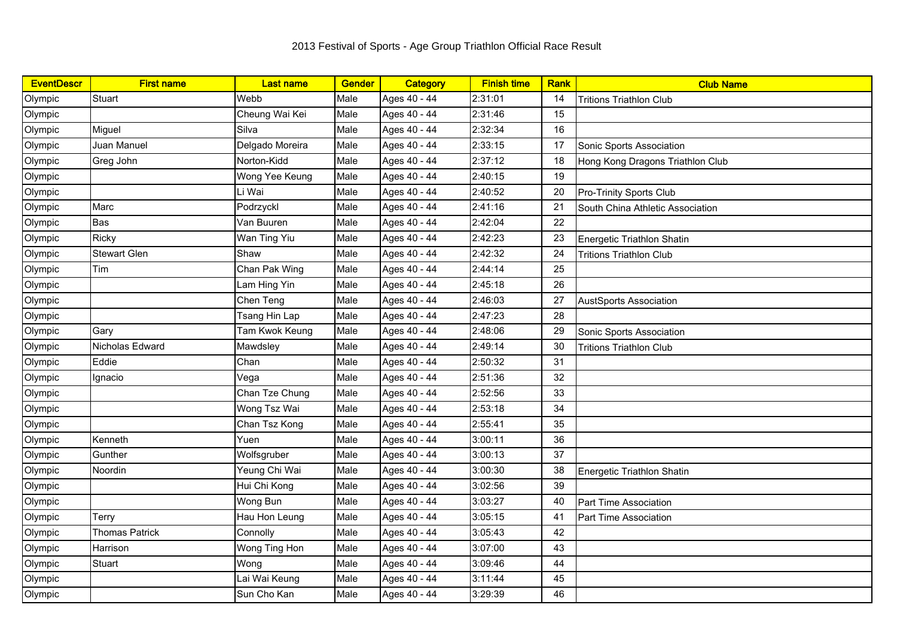| <b>EventDescr</b> | <b>First name</b>     | <b>Last name</b> | <b>Gender</b> | Category     | <b>Finish time</b> | Rank | <b>Club Name</b>                 |
|-------------------|-----------------------|------------------|---------------|--------------|--------------------|------|----------------------------------|
| Olympic           | Stuart                | Webb             | Male          | Ages 40 - 44 | 2:31:01            | 14   | <b>Tritions Triathlon Club</b>   |
| Olympic           |                       | Cheung Wai Kei   | Male          | Ages 40 - 44 | 2:31:46            | 15   |                                  |
| Olympic           | Miguel                | Silva            | Male          | Ages 40 - 44 | 2:32:34            | 16   |                                  |
| Olympic           | Juan Manuel           | Delgado Moreira  | Male          | Ages 40 - 44 | 2:33:15            | 17   | Sonic Sports Association         |
| Olympic           | Greg John             | Norton-Kidd      | Male          | Ages 40 - 44 | 2:37:12            | 18   | Hong Kong Dragons Triathlon Club |
| Olympic           |                       | Wong Yee Keung   | Male          | Ages 40 - 44 | 2:40:15            | 19   |                                  |
| Olympic           |                       | Li Wai           | Male          | Ages 40 - 44 | 2:40:52            | 20   | Pro-Trinity Sports Club          |
| Olympic           | Marc                  | Podrzyckl        | Male          | Ages 40 - 44 | 2:41:16            | 21   | South China Athletic Association |
| Olympic           | <b>Bas</b>            | Van Buuren       | Male          | Ages 40 - 44 | 2:42:04            | 22   |                                  |
| Olympic           | <b>Ricky</b>          | Wan Ting Yiu     | Male          | Ages 40 - 44 | 2:42:23            | 23   | Energetic Triathlon Shatin       |
| Olympic           | <b>Stewart Glen</b>   | Shaw             | Male          | Ages 40 - 44 | 2:42:32            | 24   | <b>Tritions Triathlon Club</b>   |
| Olympic           | Tim                   | Chan Pak Wing    | Male          | Ages 40 - 44 | 2:44:14            | 25   |                                  |
| Olympic           |                       | Lam Hing Yin     | Male          | Ages 40 - 44 | 2:45:18            | 26   |                                  |
| Olympic           |                       | Chen Teng        | Male          | Ages 40 - 44 | 2:46:03            | 27   | <b>AustSports Association</b>    |
| Olympic           |                       | Tsang Hin Lap    | Male          | Ages 40 - 44 | 2:47:23            | 28   |                                  |
| Olympic           | Gary                  | Tam Kwok Keung   | Male          | Ages 40 - 44 | 2:48:06            | 29   | Sonic Sports Association         |
| Olympic           | Nicholas Edward       | Mawdsley         | Male          | Ages 40 - 44 | 2:49:14            | 30   | <b>Tritions Triathlon Club</b>   |
| Olympic           | Eddie                 | Chan             | Male          | Ages 40 - 44 | 2:50:32            | 31   |                                  |
| Olympic           | Ignacio               | Vega             | Male          | Ages 40 - 44 | 2:51:36            | 32   |                                  |
| Olympic           |                       | Chan Tze Chung   | Male          | Ages 40 - 44 | 2:52:56            | 33   |                                  |
| Olympic           |                       | Wong Tsz Wai     | Male          | Ages 40 - 44 | 2:53:18            | 34   |                                  |
| Olympic           |                       | Chan Tsz Kong    | Male          | Ages 40 - 44 | 2:55:41            | 35   |                                  |
| Olympic           | Kenneth               | Yuen             | Male          | Ages 40 - 44 | 3:00:11            | 36   |                                  |
| Olympic           | Gunther               | Wolfsgruber      | Male          | Ages 40 - 44 | 3:00:13            | 37   |                                  |
| Olympic           | Noordin               | Yeung Chi Wai    | Male          | Ages 40 - 44 | 3:00:30            | 38   | Energetic Triathlon Shatin       |
| Olympic           |                       | Hui Chi Kong     | Male          | Ages 40 - 44 | 3:02:56            | 39   |                                  |
| Olympic           |                       | Wong Bun         | Male          | Ages 40 - 44 | 3:03:27            | 40   | Part Time Association            |
| Olympic           | Terry                 | Hau Hon Leung    | Male          | Ages 40 - 44 | 3:05:15            | 41   | <b>Part Time Association</b>     |
| Olympic           | <b>Thomas Patrick</b> | Connolly         | Male          | Ages 40 - 44 | 3:05:43            | 42   |                                  |
| Olympic           | Harrison              | Wong Ting Hon    | Male          | Ages 40 - 44 | 3:07:00            | 43   |                                  |
| Olympic           | Stuart                | Wong             | Male          | Ages 40 - 44 | 3:09:46            | 44   |                                  |
| Olympic           |                       | Lai Wai Keung    | Male          | Ages 40 - 44 | 3:11:44            | 45   |                                  |
| Olympic           |                       | Sun Cho Kan      | Male          | Ages 40 - 44 | 3:29:39            | 46   |                                  |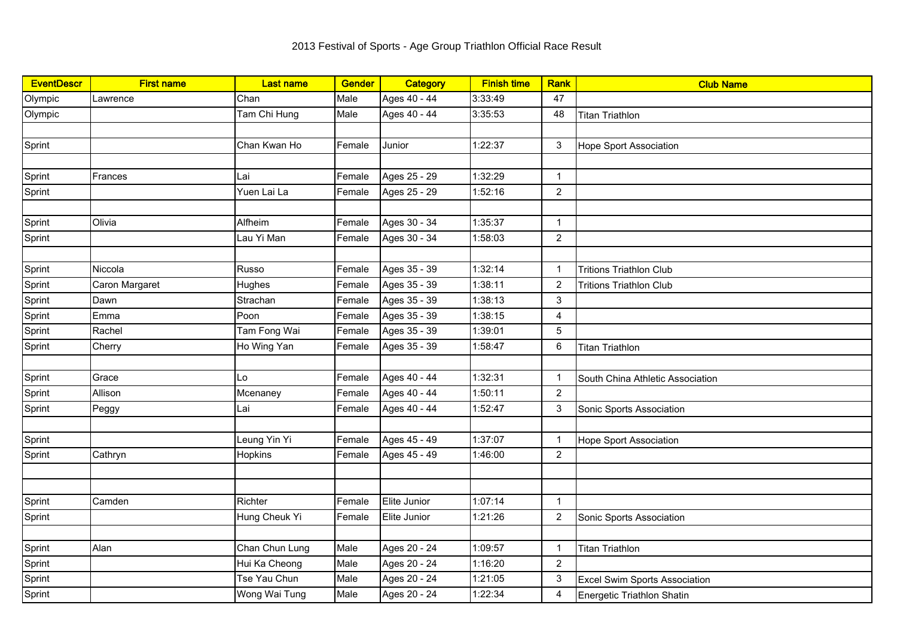| <b>EventDescr</b> | <b>First name</b> | <b>Last name</b> | <b>Gender</b> | Category     | <b>Finish time</b> | <b>Rank</b>    | <b>Club Name</b>                     |
|-------------------|-------------------|------------------|---------------|--------------|--------------------|----------------|--------------------------------------|
| Olympic           | Lawrence          | Chan             | Male          | Ages 40 - 44 | 3:33:49            | 47             |                                      |
| Olympic           |                   | Tam Chi Hung     | Male          | Ages 40 - 44 | 3:35:53            | 48             | <b>Titan Triathlon</b>               |
|                   |                   |                  |               |              |                    |                |                                      |
| Sprint            |                   | Chan Kwan Ho     | Female        | Junior       | 1:22:37            | 3              | <b>Hope Sport Association</b>        |
|                   |                   |                  |               |              |                    |                |                                      |
| Sprint            | Frances           | Lai              | Female        | Ages 25 - 29 | 1:32:29            | $\mathbf{1}$   |                                      |
| Sprint            |                   | Yuen Lai La      | Female        | Ages 25 - 29 | 1:52:16            | $\overline{2}$ |                                      |
|                   |                   |                  |               |              |                    |                |                                      |
| Sprint            | Olivia            | Alfheim          | Female        | Ages 30 - 34 | 1:35:37            | $\mathbf{1}$   |                                      |
| Sprint            |                   | Lau Yi Man       | Female        | Ages 30 - 34 | 1:58:03            | $\overline{2}$ |                                      |
|                   |                   |                  |               |              |                    |                |                                      |
| Sprint            | Niccola           | Russo            | Female        | Ages 35 - 39 | 1:32:14            | $\overline{1}$ | <b>Tritions Triathlon Club</b>       |
| Sprint            | Caron Margaret    | Hughes           | Female        | Ages 35 - 39 | 1:38:11            | $\overline{2}$ | <b>Tritions Triathlon Club</b>       |
| Sprint            | Dawn              | Strachan         | Female        | Ages 35 - 39 | 1:38:13            | 3              |                                      |
| Sprint            | Emma              | Poon             | Female        | Ages 35 - 39 | 1:38:15            | 4              |                                      |
| Sprint            | Rachel            | Tam Fong Wai     | Female        | Ages 35 - 39 | 1:39:01            | 5              |                                      |
| Sprint            | Cherry            | Ho Wing Yan      | Female        | Ages 35 - 39 | 1:58:47            | $\,6\,$        | <b>Titan Triathlon</b>               |
|                   |                   |                  |               |              |                    |                |                                      |
| Sprint            | Grace             | Lo               | Female        | Ages 40 - 44 | 1:32:31            | $\overline{1}$ | South China Athletic Association     |
| Sprint            | Allison           | Mcenaney         | Female        | Ages 40 - 44 | 1:50:11            | $\overline{2}$ |                                      |
| Sprint            | Peggy             | Lai              | Female        | Ages 40 - 44 | 1:52:47            | 3              | Sonic Sports Association             |
|                   |                   |                  |               |              |                    |                |                                      |
| Sprint            |                   | Leung Yin Yi     | Female        | Ages 45 - 49 | 1:37:07            | $\overline{1}$ | <b>Hope Sport Association</b>        |
| Sprint            | Cathryn           | Hopkins          | Female        | Ages 45 - 49 | 1:46:00            | $\overline{2}$ |                                      |
|                   |                   |                  |               |              |                    |                |                                      |
|                   |                   |                  |               |              |                    |                |                                      |
| Sprint            | Camden            | Richter          | Female        | Elite Junior | 1:07:14            | $\mathbf{1}$   |                                      |
| Sprint            |                   | Hung Cheuk Yi    | Female        | Elite Junior | 1:21:26            | $\overline{2}$ | Sonic Sports Association             |
|                   |                   |                  |               |              |                    |                |                                      |
| Sprint            | Alan              | Chan Chun Lung   | Male          | Ages 20 - 24 | 1:09:57            | $\overline{1}$ | <b>Titan Triathlon</b>               |
| Sprint            |                   | Hui Ka Cheong    | Male          | Ages 20 - 24 | 1:16:20            | $\overline{2}$ |                                      |
| Sprint            |                   | Tse Yau Chun     | Male          | Ages 20 - 24 | 1:21:05            | $\mathsf 3$    | <b>Excel Swim Sports Association</b> |
| Sprint            |                   | Wong Wai Tung    | Male          | Ages 20 - 24 | 1:22:34            | $\overline{4}$ | Energetic Triathlon Shatin           |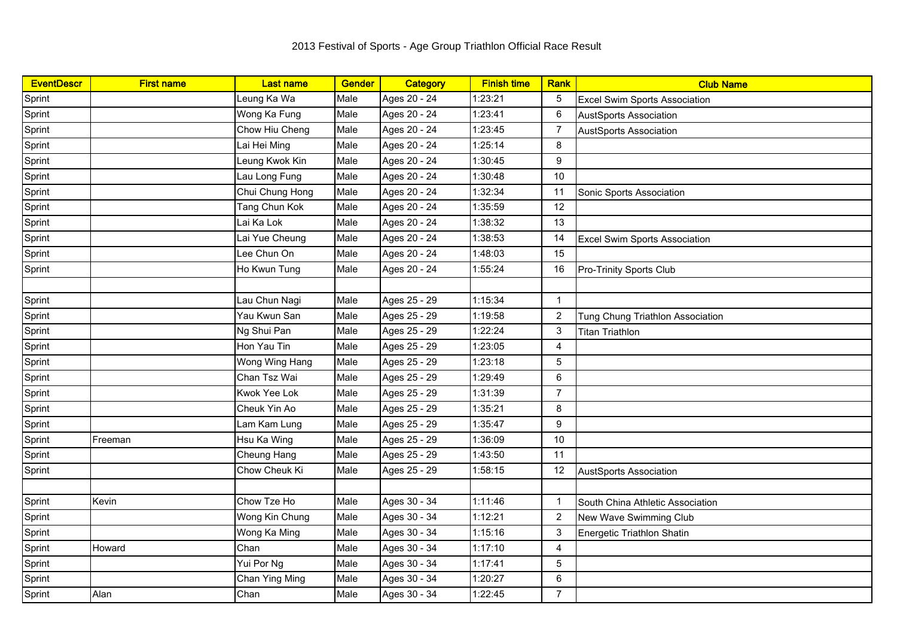| <b>EventDescr</b> | <b>First name</b> | <b>Last name</b> | <b>Gender</b> | Category     | <b>Finish time</b> | Rank           | <b>Club Name</b>                     |
|-------------------|-------------------|------------------|---------------|--------------|--------------------|----------------|--------------------------------------|
| Sprint            |                   | Leung Ka Wa      | Male          | Ages 20 - 24 | 1:23:21            | 5              | <b>Excel Swim Sports Association</b> |
| Sprint            |                   | Wong Ka Fung     | Male          | Ages 20 - 24 | 1:23:41            | 6              | <b>AustSports Association</b>        |
| Sprint            |                   | Chow Hiu Cheng   | Male          | Ages 20 - 24 | 1:23:45            | $\overline{7}$ | <b>AustSports Association</b>        |
| Sprint            |                   | Lai Hei Ming     | Male          | Ages 20 - 24 | 1:25:14            | 8              |                                      |
| Sprint            |                   | Leung Kwok Kin   | Male          | Ages 20 - 24 | 1:30:45            | 9              |                                      |
| Sprint            |                   | Lau Long Fung    | Male          | Ages 20 - 24 | 1:30:48            | 10             |                                      |
| Sprint            |                   | Chui Chung Hong  | Male          | Ages 20 - 24 | 1:32:34            | 11             | Sonic Sports Association             |
| Sprint            |                   | Tang Chun Kok    | Male          | Ages 20 - 24 | 1:35:59            | 12             |                                      |
| Sprint            |                   | Lai Ka Lok       | Male          | Ages 20 - 24 | 1:38:32            | 13             |                                      |
| Sprint            |                   | Lai Yue Cheung   | Male          | Ages 20 - 24 | 1:38:53            | 14             | <b>Excel Swim Sports Association</b> |
| Sprint            |                   | Lee Chun On      | Male          | Ages 20 - 24 | 1:48:03            | 15             |                                      |
| Sprint            |                   | Ho Kwun Tung     | Male          | Ages 20 - 24 | 1:55:24            | 16             | <b>Pro-Trinity Sports Club</b>       |
|                   |                   |                  |               |              |                    |                |                                      |
| Sprint            |                   | Lau Chun Nagi    | Male          | Ages 25 - 29 | 1:15:34            | $\mathbf{1}$   |                                      |
| Sprint            |                   | Yau Kwun San     | Male          | Ages 25 - 29 | 1:19:58            | $\overline{2}$ | Tung Chung Triathlon Association     |
| Sprint            |                   | Ng Shui Pan      | Male          | Ages 25 - 29 | 1:22:24            | $\mathbf{3}$   | <b>Titan Triathlon</b>               |
| Sprint            |                   | Hon Yau Tin      | Male          | Ages 25 - 29 | 1:23:05            | 4              |                                      |
| Sprint            |                   | Wong Wing Hang   | Male          | Ages 25 - 29 | 1:23:18            | 5              |                                      |
| Sprint            |                   | Chan Tsz Wai     | Male          | Ages 25 - 29 | 1:29:49            | 6              |                                      |
| Sprint            |                   | Kwok Yee Lok     | Male          | Ages 25 - 29 | 1:31:39            | $\overline{7}$ |                                      |
| Sprint            |                   | Cheuk Yin Ao     | Male          | Ages 25 - 29 | 1:35:21            | 8              |                                      |
| Sprint            |                   | Lam Kam Lung     | Male          | Ages 25 - 29 | 1:35:47            | 9              |                                      |
| Sprint            | Freeman           | Hsu Ka Wing      | Male          | Ages 25 - 29 | 1:36:09            | 10             |                                      |
| Sprint            |                   | Cheung Hang      | Male          | Ages 25 - 29 | 1:43:50            | 11             |                                      |
| Sprint            |                   | Chow Cheuk Ki    | Male          | Ages 25 - 29 | 1:58:15            | 12             | <b>AustSports Association</b>        |
|                   |                   |                  |               |              |                    |                |                                      |
| Sprint            | Kevin             | Chow Tze Ho      | Male          | Ages 30 - 34 | 1:11:46            | $\overline{1}$ | South China Athletic Association     |
| Sprint            |                   | Wong Kin Chung   | Male          | Ages 30 - 34 | 1:12:21            | 2              | New Wave Swimming Club               |
| Sprint            |                   | Wong Ka Ming     | Male          | Ages 30 - 34 | 1:15:16            | $\mathsf 3$    | Energetic Triathlon Shatin           |
| Sprint            | Howard            | Chan             | Male          | Ages 30 - 34 | 1:17:10            | $\overline{4}$ |                                      |
| Sprint            |                   | Yui Por Ng       | Male          | Ages 30 - 34 | 1:17:41            | 5              |                                      |
| Sprint            |                   | Chan Ying Ming   | Male          | Ages 30 - 34 | 1:20:27            | $\,6\,$        |                                      |
| Sprint            | Alan              | Chan             | Male          | Ages 30 - 34 | 1:22:45            | $\overline{7}$ |                                      |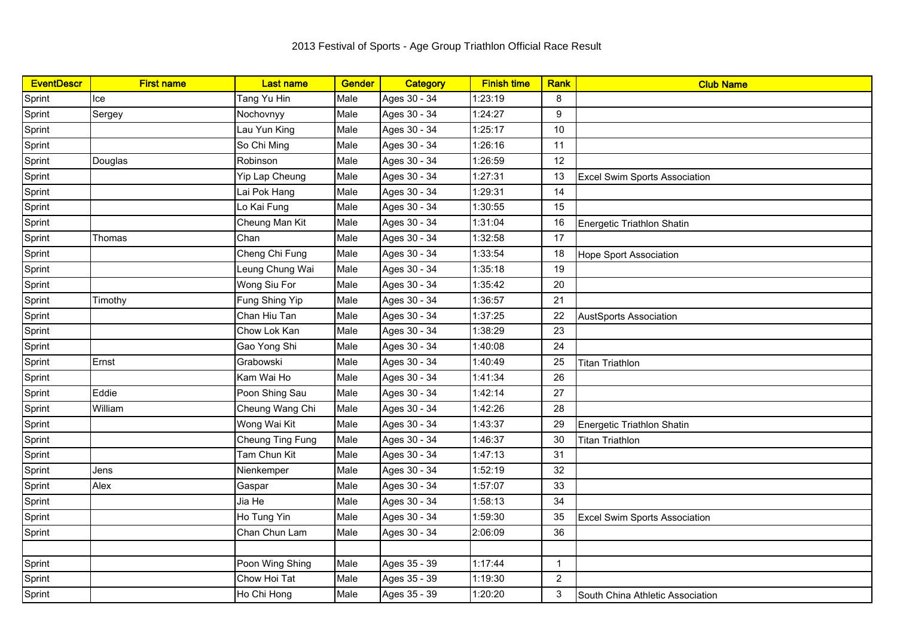| <b>EventDescr</b> | <b>First name</b> | <b>Last name</b> | <b>Gender</b> | <b>Category</b> | <b>Finish time</b> | Rank           | <b>Club Name</b>                     |
|-------------------|-------------------|------------------|---------------|-----------------|--------------------|----------------|--------------------------------------|
| Sprint            | Ice               | Tang Yu Hin      | Male          | Ages 30 - 34    | 1:23:19            | 8              |                                      |
| Sprint            | Sergey            | Nochovnyy        | Male          | Ages 30 - 34    | 1:24:27            | 9              |                                      |
| Sprint            |                   | Lau Yun King     | Male          | Ages 30 - 34    | 1:25:17            | 10             |                                      |
| Sprint            |                   | So Chi Ming      | Male          | Ages 30 - 34    | 1:26:16            | 11             |                                      |
| Sprint            | Douglas           | Robinson         | Male          | Ages 30 - 34    | 1:26:59            | 12             |                                      |
| Sprint            |                   | Yip Lap Cheung   | Male          | Ages 30 - 34    | 1:27:31            | 13             | <b>Excel Swim Sports Association</b> |
| Sprint            |                   | Lai Pok Hang     | Male          | Ages 30 - 34    | 1:29:31            | 14             |                                      |
| Sprint            |                   | Lo Kai Fung      | Male          | Ages 30 - 34    | 1:30:55            | 15             |                                      |
| Sprint            |                   | Cheung Man Kit   | Male          | Ages 30 - 34    | 1:31:04            | 16             | Energetic Triathlon Shatin           |
| Sprint            | Thomas            | Chan             | Male          | Ages 30 - 34    | 1:32:58            | 17             |                                      |
| Sprint            |                   | Cheng Chi Fung   | Male          | Ages 30 - 34    | 1:33:54            | 18             | <b>Hope Sport Association</b>        |
| Sprint            |                   | Leung Chung Wai  | Male          | Ages 30 - 34    | 1:35:18            | 19             |                                      |
| Sprint            |                   | Wong Siu For     | Male          | Ages 30 - 34    | 1:35:42            | 20             |                                      |
| Sprint            | Timothy           | Fung Shing Yip   | Male          | Ages 30 - 34    | 1:36:57            | 21             |                                      |
| Sprint            |                   | Chan Hiu Tan     | Male          | Ages 30 - 34    | 1:37:25            | 22             | <b>AustSports Association</b>        |
| Sprint            |                   | Chow Lok Kan     | Male          | Ages 30 - 34    | 1:38:29            | 23             |                                      |
| Sprint            |                   | Gao Yong Shi     | Male          | Ages 30 - 34    | 1:40:08            | 24             |                                      |
| Sprint            | Ernst             | Grabowski        | Male          | Ages 30 - 34    | 1:40:49            | 25             | <b>Titan Triathlon</b>               |
| Sprint            |                   | Kam Wai Ho       | Male          | Ages 30 - 34    | 1:41:34            | 26             |                                      |
| Sprint            | Eddie             | Poon Shing Sau   | Male          | Ages 30 - 34    | 1:42:14            | 27             |                                      |
| Sprint            | William           | Cheung Wang Chi  | Male          | Ages 30 - 34    | 1:42:26            | 28             |                                      |
| Sprint            |                   | Wong Wai Kit     | Male          | Ages 30 - 34    | 1:43:37            | 29             | Energetic Triathlon Shatin           |
| Sprint            |                   | Cheung Ting Fung | Male          | Ages 30 - 34    | 1:46:37            | 30             | <b>Titan Triathlon</b>               |
| Sprint            |                   | Tam Chun Kit     | Male          | Ages 30 - 34    | 1:47:13            | 31             |                                      |
| Sprint            | Jens              | Nienkemper       | Male          | Ages 30 - 34    | 1:52:19            | 32             |                                      |
| Sprint            | Alex              | Gaspar           | Male          | Ages 30 - 34    | 1:57:07            | 33             |                                      |
| Sprint            |                   | Jia He           | Male          | Ages 30 - 34    | 1:58:13            | 34             |                                      |
| Sprint            |                   | Ho Tung Yin      | Male          | Ages 30 - 34    | 1:59:30            | 35             | <b>Excel Swim Sports Association</b> |
| Sprint            |                   | Chan Chun Lam    | Male          | Ages 30 - 34    | 2:06:09            | 36             |                                      |
|                   |                   |                  |               |                 |                    |                |                                      |
| Sprint            |                   | Poon Wing Shing  | Male          | Ages 35 - 39    | 1:17:44            | $\overline{1}$ |                                      |
| Sprint            |                   | Chow Hoi Tat     | Male          | Ages 35 - 39    | 1:19:30            | 2              |                                      |
| Sprint            |                   | Ho Chi Hong      | Male          | Ages 35 - 39    | 1:20:20            | 3              | South China Athletic Association     |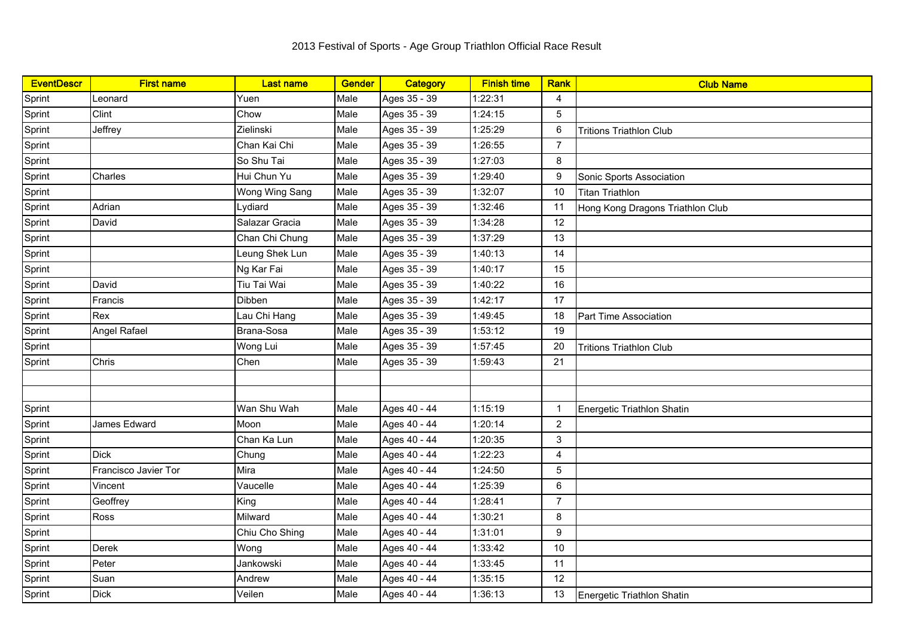| <b>EventDescr</b> | <b>First name</b>    | <b>Last name</b> | <b>Gender</b> | Category     | <b>Finish time</b> | <b>Rank</b>    | <b>Club Name</b>                 |
|-------------------|----------------------|------------------|---------------|--------------|--------------------|----------------|----------------------------------|
| Sprint            | Leonard              | Yuen             | Male          | Ages 35 - 39 | 1:22:31            | $\overline{4}$ |                                  |
| Sprint            | Clint                | Chow             | Male          | Ages 35 - 39 | 1:24:15            | 5              |                                  |
| Sprint            | Jeffrey              | Zielinski        | Male          | Ages 35 - 39 | 1:25:29            | 6              | <b>Tritions Triathlon Club</b>   |
| Sprint            |                      | Chan Kai Chi     | Male          | Ages 35 - 39 | 1:26:55            | $\overline{7}$ |                                  |
| Sprint            |                      | So Shu Tai       | Male          | Ages 35 - 39 | 1:27:03            | 8              |                                  |
| Sprint            | Charles              | Hui Chun Yu      | Male          | Ages 35 - 39 | 1:29:40            | 9              | Sonic Sports Association         |
| Sprint            |                      | Wong Wing Sang   | Male          | Ages 35 - 39 | 1:32:07            | 10             | <b>Titan Triathlon</b>           |
| Sprint            | Adrian               | Lydiard          | Male          | Ages 35 - 39 | 1:32:46            | 11             | Hong Kong Dragons Triathlon Club |
| Sprint            | David                | Salazar Gracia   | Male          | Ages 35 - 39 | 1:34:28            | 12             |                                  |
| Sprint            |                      | Chan Chi Chung   | Male          | Ages 35 - 39 | 1:37:29            | 13             |                                  |
| Sprint            |                      | Leung Shek Lun   | Male          | Ages 35 - 39 | 1:40:13            | 14             |                                  |
| Sprint            |                      | Ng Kar Fai       | Male          | Ages 35 - 39 | 1:40:17            | 15             |                                  |
| Sprint            | David                | Tiu Tai Wai      | Male          | Ages 35 - 39 | 1:40:22            | 16             |                                  |
| Sprint            | Francis              | <b>Dibben</b>    | Male          | Ages 35 - 39 | 1:42:17            | 17             |                                  |
| Sprint            | Rex                  | Lau Chi Hang     | Male          | Ages 35 - 39 | 1:49:45            | 18             | Part Time Association            |
| Sprint            | Angel Rafael         | Brana-Sosa       | Male          | Ages 35 - 39 | 1:53:12            | 19             |                                  |
| Sprint            |                      | Wong Lui         | Male          | Ages 35 - 39 | 1:57:45            | 20             | <b>Tritions Triathlon Club</b>   |
| Sprint            | Chris                | Chen             | Male          | Ages 35 - 39 | 1:59:43            | 21             |                                  |
|                   |                      |                  |               |              |                    |                |                                  |
|                   |                      |                  |               |              |                    |                |                                  |
| Sprint            |                      | Wan Shu Wah      | Male          | Ages 40 - 44 | 1:15:19            | $\mathbf{1}$   | Energetic Triathlon Shatin       |
| Sprint            | James Edward         | Moon             | Male          | Ages 40 - 44 | 1:20:14            | $\overline{2}$ |                                  |
| Sprint            |                      | Chan Ka Lun      | Male          | Ages 40 - 44 | 1:20:35            | 3              |                                  |
| Sprint            | Dick                 | Chung            | Male          | Ages 40 - 44 | 1:22:23            | 4              |                                  |
| Sprint            | Francisco Javier Tor | Mira             | Male          | Ages 40 - 44 | 1:24:50            | 5              |                                  |
| Sprint            | Vincent              | Vaucelle         | Male          | Ages 40 - 44 | 1:25:39            | $\,6\,$        |                                  |
| Sprint            | Geoffrey             | King             | Male          | Ages 40 - 44 | 1:28:41            | $\overline{7}$ |                                  |
| Sprint            | Ross                 | Milward          | Male          | Ages 40 - 44 | 1:30:21            | 8              |                                  |
| Sprint            |                      | Chiu Cho Shing   | Male          | Ages 40 - 44 | 1:31:01            | 9              |                                  |
| Sprint            | <b>Derek</b>         | Wong             | Male          | Ages 40 - 44 | 1:33:42            | 10             |                                  |
| Sprint            | Peter                | Jankowski        | Male          | Ages 40 - 44 | 1:33:45            | 11             |                                  |
| Sprint            | Suan                 | Andrew           | Male          | Ages 40 - 44 | 1:35:15            | 12             |                                  |
| Sprint            | <b>Dick</b>          | Veilen           | Male          | Ages 40 - 44 | 1:36:13            | 13             | Energetic Triathlon Shatin       |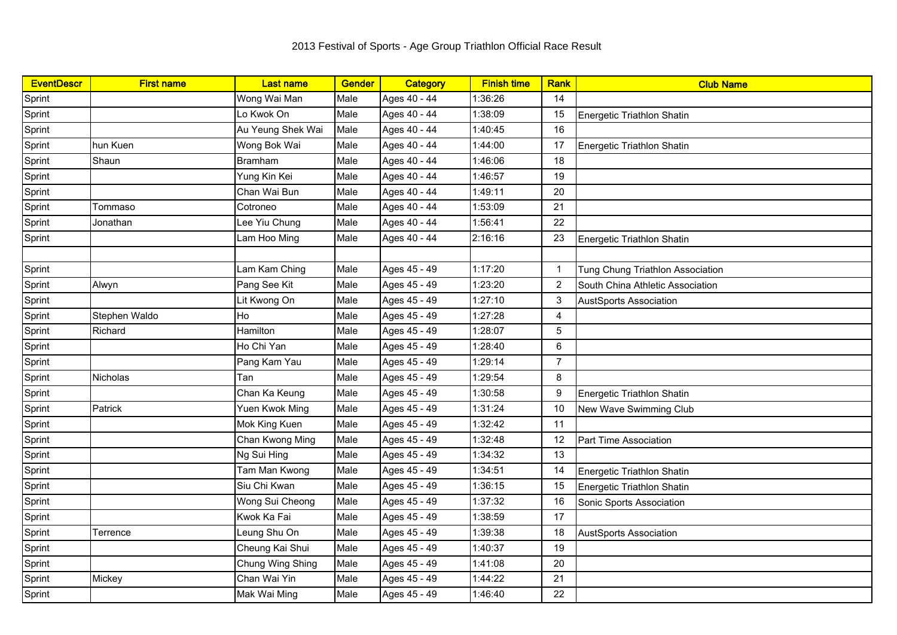| <b>EventDescr</b> | <b>First name</b> | <b>Last name</b>  | Gender | Category     | <b>Finish time</b> | Rank           | <b>Club Name</b>                 |
|-------------------|-------------------|-------------------|--------|--------------|--------------------|----------------|----------------------------------|
| Sprint            |                   | Wong Wai Man      | Male   | Ages 40 - 44 | 1:36:26            | 14             |                                  |
| Sprint            |                   | Lo Kwok On        | Male   | Ages 40 - 44 | 1:38:09            | 15             | Energetic Triathlon Shatin       |
| Sprint            |                   | Au Yeung Shek Wai | Male   | Ages 40 - 44 | 1:40:45            | 16             |                                  |
| Sprint            | hun Kuen          | Wong Bok Wai      | Male   | Ages 40 - 44 | 1:44:00            | 17             | Energetic Triathlon Shatin       |
| Sprint            | Shaun             | Bramham           | Male   | Ages 40 - 44 | 1:46:06            | 18             |                                  |
| Sprint            |                   | Yung Kin Kei      | Male   | Ages 40 - 44 | 1:46:57            | 19             |                                  |
| Sprint            |                   | Chan Wai Bun      | Male   | Ages 40 - 44 | 1:49:11            | 20             |                                  |
| Sprint            | Tommaso           | Cotroneo          | Male   | Ages 40 - 44 | 1:53:09            | 21             |                                  |
| Sprint            | Jonathan          | Lee Yiu Chung     | Male   | Ages 40 - 44 | 1:56:41            | 22             |                                  |
| Sprint            |                   | Lam Hoo Ming      | Male   | Ages 40 - 44 | 2:16:16            | 23             | Energetic Triathlon Shatin       |
|                   |                   |                   |        |              |                    |                |                                  |
| Sprint            |                   | Lam Kam Ching     | Male   | Ages 45 - 49 | 1:17:20            | $\overline{1}$ | Tung Chung Triathlon Association |
| Sprint            | Alwyn             | Pang See Kit      | Male   | Ages 45 - 49 | 1:23:20            | $\overline{2}$ | South China Athletic Association |
| Sprint            |                   | Lit Kwong On      | Male   | Ages 45 - 49 | 1:27:10            | 3              | <b>AustSports Association</b>    |
| Sprint            | Stephen Waldo     | Ho                | Male   | Ages 45 - 49 | 1:27:28            | $\overline{4}$ |                                  |
| Sprint            | Richard           | Hamilton          | Male   | Ages 45 - 49 | 1:28:07            | $\sqrt{5}$     |                                  |
| Sprint            |                   | Ho Chi Yan        | Male   | Ages 45 - 49 | 1:28:40            | 6              |                                  |
| Sprint            |                   | Pang Kam Yau      | Male   | Ages 45 - 49 | 1:29:14            | $\overline{7}$ |                                  |
| Sprint            | <b>Nicholas</b>   | Tan               | Male   | Ages 45 - 49 | 1:29:54            | 8              |                                  |
| Sprint            |                   | Chan Ka Keung     | Male   | Ages 45 - 49 | 1:30:58            | 9              | Energetic Triathlon Shatin       |
| Sprint            | Patrick           | Yuen Kwok Ming    | Male   | Ages 45 - 49 | 1:31:24            | 10             | New Wave Swimming Club           |
| Sprint            |                   | Mok King Kuen     | Male   | Ages 45 - 49 | 1:32:42            | 11             |                                  |
| Sprint            |                   | Chan Kwong Ming   | Male   | Ages 45 - 49 | 1:32:48            | 12             | Part Time Association            |
| Sprint            |                   | Ng Sui Hing       | Male   | Ages 45 - 49 | 1:34:32            | 13             |                                  |
| Sprint            |                   | Tam Man Kwong     | Male   | Ages 45 - 49 | 1:34:51            | 14             | Energetic Triathlon Shatin       |
| Sprint            |                   | Siu Chi Kwan      | Male   | Ages 45 - 49 | 1:36:15            | 15             | Energetic Triathlon Shatin       |
| Sprint            |                   | Wong Sui Cheong   | Male   | Ages 45 - 49 | 1:37:32            | 16             | Sonic Sports Association         |
| Sprint            |                   | Kwok Ka Fai       | Male   | Ages 45 - 49 | 1:38:59            | 17             |                                  |
| Sprint            | Terrence          | Leung Shu On      | Male   | Ages 45 - 49 | 1:39:38            | 18             | <b>AustSports Association</b>    |
| Sprint            |                   | Cheung Kai Shui   | Male   | Ages 45 - 49 | 1:40:37            | 19             |                                  |
| Sprint            |                   | Chung Wing Shing  | Male   | Ages 45 - 49 | 1:41:08            | 20             |                                  |
| Sprint            | Mickey            | Chan Wai Yin      | Male   | Ages 45 - 49 | 1:44:22            | 21             |                                  |
| Sprint            |                   | Mak Wai Ming      | Male   | Ages 45 - 49 | 1:46:40            | 22             |                                  |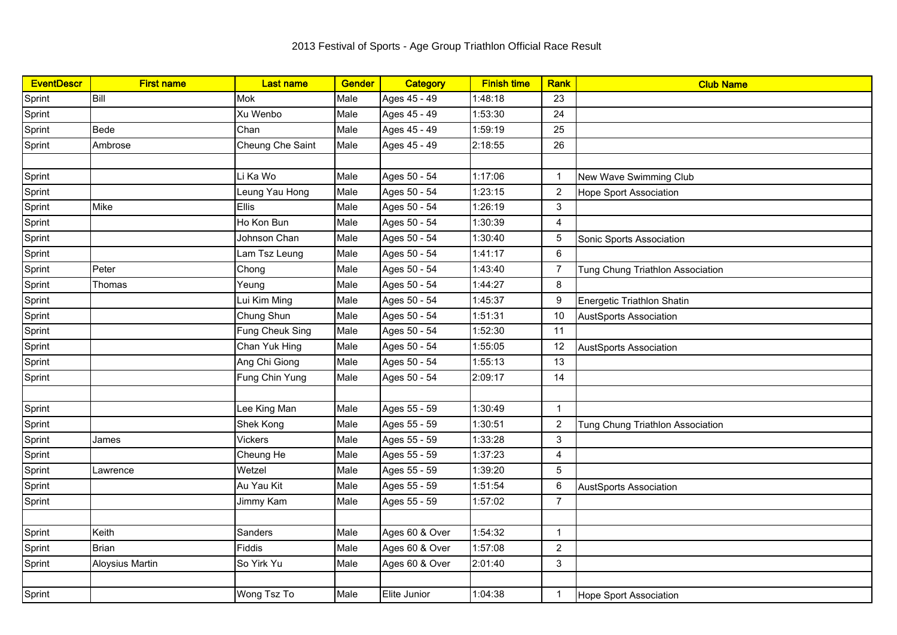| <b>EventDescr</b> | <b>First name</b> | <b>Last name</b> | Gender | Category       | <b>Finish time</b> | Rank            | <b>Club Name</b>                 |
|-------------------|-------------------|------------------|--------|----------------|--------------------|-----------------|----------------------------------|
| Sprint            | Bill              | <b>Mok</b>       | Male   | Ages 45 - 49   | 1:48:18            | 23              |                                  |
| Sprint            |                   | Xu Wenbo         | Male   | Ages 45 - 49   | 1:53:30            | 24              |                                  |
| Sprint            | Bede              | Chan             | Male   | Ages 45 - 49   | 1:59:19            | 25              |                                  |
| Sprint            | Ambrose           | Cheung Che Saint | Male   | Ages 45 - 49   | 2:18:55            | 26              |                                  |
|                   |                   |                  |        |                |                    |                 |                                  |
| Sprint            |                   | Li Ka Wo         | Male   | Ages 50 - 54   | 1:17:06            | $\mathbf{1}$    | New Wave Swimming Club           |
| Sprint            |                   | Leung Yau Hong   | Male   | Ages 50 - 54   | 1:23:15            | $\overline{2}$  | <b>Hope Sport Association</b>    |
| Sprint            | Mike              | <b>Ellis</b>     | Male   | Ages 50 - 54   | 1:26:19            | $\mathbf{3}$    |                                  |
| Sprint            |                   | Ho Kon Bun       | Male   | Ages 50 - 54   | 1:30:39            | $\overline{4}$  |                                  |
| Sprint            |                   | Johnson Chan     | Male   | Ages 50 - 54   | 1:30:40            | $\sqrt{5}$      | Sonic Sports Association         |
| Sprint            |                   | Lam Tsz Leung    | Male   | Ages 50 - 54   | 1:41:17            | 6               |                                  |
| Sprint            | Peter             | Chong            | Male   | Ages 50 - 54   | 1:43:40            | $\overline{7}$  | Tung Chung Triathlon Association |
| Sprint            | Thomas            | Yeung            | Male   | Ages 50 - 54   | 1:44:27            | 8               |                                  |
| Sprint            |                   | Lui Kim Ming     | Male   | Ages 50 - 54   | 1:45:37            | 9               | Energetic Triathlon Shatin       |
| Sprint            |                   | Chung Shun       | Male   | Ages 50 - 54   | 1:51:31            | 10              | <b>AustSports Association</b>    |
| Sprint            |                   | Fung Cheuk Sing  | Male   | Ages 50 - 54   | 1:52:30            | 11              |                                  |
| Sprint            |                   | Chan Yuk Hing    | Male   | Ages 50 - 54   | 1:55:05            | 12              | <b>AustSports Association</b>    |
| Sprint            |                   | Ang Chi Giong    | Male   | Ages 50 - 54   | 1:55:13            | 13              |                                  |
| Sprint            |                   | Fung Chin Yung   | Male   | Ages 50 - 54   | 2:09:17            | 14              |                                  |
|                   |                   |                  |        |                |                    |                 |                                  |
| Sprint            |                   | Lee King Man     | Male   | Ages 55 - 59   | 1:30:49            | $\overline{1}$  |                                  |
| Sprint            |                   | Shek Kong        | Male   | Ages 55 - 59   | 1:30:51            | $\overline{2}$  | Tung Chung Triathlon Association |
| Sprint            | James             | <b>Vickers</b>   | Male   | Ages 55 - 59   | 1:33:28            | 3               |                                  |
| Sprint            |                   | Cheung He        | Male   | Ages 55 - 59   | 1:37:23            | 4               |                                  |
| Sprint            | Lawrence          | Wetzel           | Male   | Ages 55 - 59   | 1:39:20            | $5\phantom{.0}$ |                                  |
| Sprint            |                   | Au Yau Kit       | Male   | Ages 55 - 59   | 1:51:54            | 6               | <b>AustSports Association</b>    |
| Sprint            |                   | Jimmy Kam        | Male   | Ages 55 - 59   | 1:57:02            | $\overline{7}$  |                                  |
|                   |                   |                  |        |                |                    |                 |                                  |
| Sprint            | Keith             | Sanders          | Male   | Ages 60 & Over | 1:54:32            | $\overline{1}$  |                                  |
| Sprint            | <b>Brian</b>      | Fiddis           | Male   | Ages 60 & Over | 1:57:08            | $\overline{2}$  |                                  |
| Sprint            | Aloysius Martin   | So Yirk Yu       | Male   | Ages 60 & Over | 2:01:40            | 3               |                                  |
|                   |                   |                  |        |                |                    |                 |                                  |
| Sprint            |                   | Wong Tsz To      | Male   | Elite Junior   | 1:04:38            | $\overline{1}$  | <b>Hope Sport Association</b>    |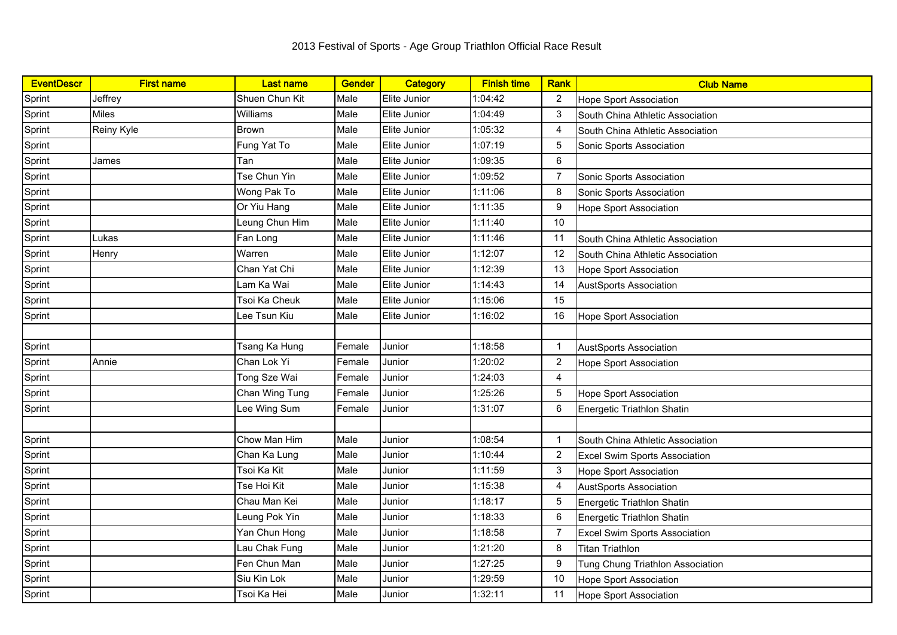| <b>EventDescr</b> | <b>First name</b> | <b>Last name</b> | <b>Gender</b> | Category     | <b>Finish time</b> | Rank           | <b>Club Name</b>                     |
|-------------------|-------------------|------------------|---------------|--------------|--------------------|----------------|--------------------------------------|
| Sprint            | Jeffrey           | Shuen Chun Kit   | Male          | Elite Junior | 1:04:42            | $\overline{c}$ | <b>Hope Sport Association</b>        |
| Sprint            | <b>Miles</b>      | Williams         | Male          | Elite Junior | 1:04:49            | 3              | South China Athletic Association     |
| Sprint            | Reiny Kyle        | <b>Brown</b>     | Male          | Elite Junior | 1:05:32            | 4              | South China Athletic Association     |
| Sprint            |                   | Fung Yat To      | Male          | Elite Junior | 1:07:19            | 5              | Sonic Sports Association             |
| Sprint            | James             | Tan              | Male          | Elite Junior | 1:09:35            | 6              |                                      |
| Sprint            |                   | Tse Chun Yin     | Male          | Elite Junior | 1:09:52            | 7              | Sonic Sports Association             |
| Sprint            |                   | Wong Pak To      | Male          | Elite Junior | 1:11:06            | 8              | Sonic Sports Association             |
| Sprint            |                   | Or Yiu Hang      | Male          | Elite Junior | 1:11:35            | 9              | <b>Hope Sport Association</b>        |
| Sprint            |                   | Leung Chun Him   | Male          | Elite Junior | 1:11:40            | 10             |                                      |
| Sprint            | Lukas             | Fan Long         | Male          | Elite Junior | 1:11:46            | 11             | South China Athletic Association     |
| Sprint            | Henry             | Warren           | Male          | Elite Junior | 1:12:07            | 12             | South China Athletic Association     |
| Sprint            |                   | Chan Yat Chi     | Male          | Elite Junior | 1:12:39            | 13             | <b>Hope Sport Association</b>        |
| Sprint            |                   | Lam Ka Wai       | Male          | Elite Junior | 1:14:43            | 14             | <b>AustSports Association</b>        |
| Sprint            |                   | Tsoi Ka Cheuk    | Male          | Elite Junior | 1:15:06            | 15             |                                      |
| Sprint            |                   | Lee Tsun Kiu     | Male          | Elite Junior | 1:16:02            | 16             | <b>Hope Sport Association</b>        |
|                   |                   |                  |               |              |                    |                |                                      |
| Sprint            |                   | Tsang Ka Hung    | Female        | Junior       | 1:18:58            | -1             | <b>AustSports Association</b>        |
| Sprint            | Annie             | Chan Lok Yi      | Female        | Junior       | 1:20:02            | $\overline{2}$ | <b>Hope Sport Association</b>        |
| Sprint            |                   | Tong Sze Wai     | Female        | Junior       | 1:24:03            | 4              |                                      |
| Sprint            |                   | Chan Wing Tung   | Female        | Junior       | 1:25:26            | 5              | <b>Hope Sport Association</b>        |
| Sprint            |                   | ee Wing Sum      | Female        | Junior       | 1:31:07            | 6              | Energetic Triathlon Shatin           |
|                   |                   |                  |               |              |                    |                |                                      |
| Sprint            |                   | Chow Man Him     | Male          | Junior       | 1:08:54            | $\mathbf{1}$   | South China Athletic Association     |
| Sprint            |                   | Chan Ka Lung     | Male          | Junior       | 1:10:44            | $\overline{c}$ | Excel Swim Sports Association        |
| Sprint            |                   | Tsoi Ka Kit      | Male          | Junior       | 1:11:59            | 3              | Hope Sport Association               |
| Sprint            |                   | Tse Hoi Kit      | Male          | Junior       | 1:15:38            | 4              | <b>AustSports Association</b>        |
| Sprint            |                   | Chau Man Kei     | Male          | Junior       | 1:18:17            | 5              | Energetic Triathlon Shatin           |
| Sprint            |                   | Leung Pok Yin    | Male          | Junior       | 1:18:33            | 6              | Energetic Triathlon Shatin           |
| Sprint            |                   | Yan Chun Hong    | Male          | Junior       | 1:18:58            | $\overline{7}$ | <b>Excel Swim Sports Association</b> |
| Sprint            |                   | Lau Chak Fung    | Male          | Junior       | 1:21:20            | 8              | <b>Titan Triathlon</b>               |
| Sprint            |                   | Fen Chun Man     | Male          | Junior       | 1:27:25            | 9              | Tung Chung Triathlon Association     |
| Sprint            |                   | Siu Kin Lok      | Male          | Junior       | 1:29:59            | 10             | <b>Hope Sport Association</b>        |
| Sprint            |                   | Tsoi Ka Hei      | Male          | Junior       | 1:32:11            | 11             | <b>Hope Sport Association</b>        |
|                   |                   |                  |               |              |                    |                |                                      |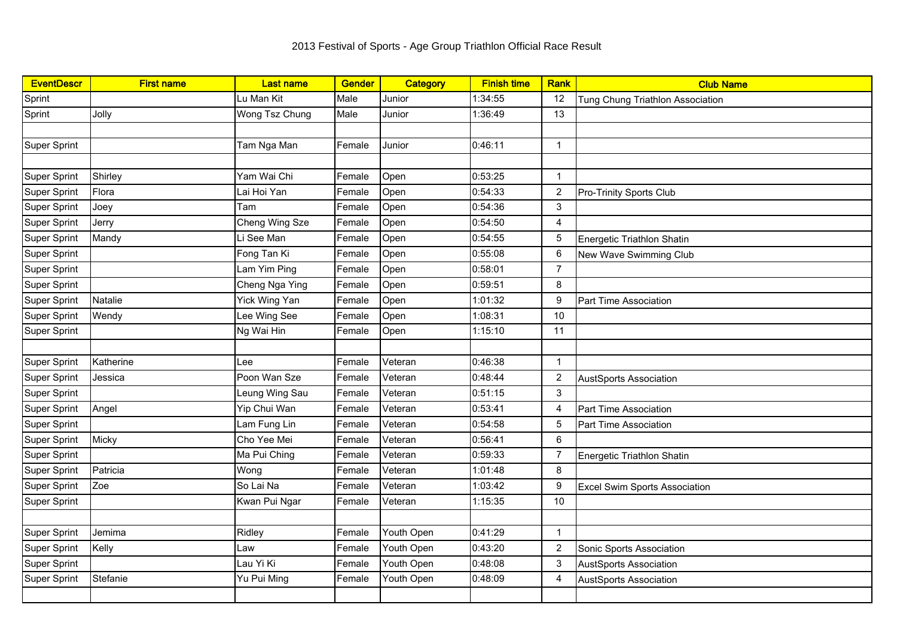| <b>EventDescr</b>   | <b>First name</b> | <b>Last name</b> | <b>Gender</b> | Category   | <b>Finish time</b> | Rank           | <b>Club Name</b>                     |
|---------------------|-------------------|------------------|---------------|------------|--------------------|----------------|--------------------------------------|
| Sprint              |                   | Lu Man Kit       | Male          | Junior     | 1:34:55            | 12             | Tung Chung Triathlon Association     |
| Sprint              | Jolly             | Wong Tsz Chung   | Male          | Junior     | 1:36:49            | 13             |                                      |
|                     |                   |                  |               |            |                    |                |                                      |
| Super Sprint        |                   | Tam Nga Man      | Female        | Junior     | 0:46:11            | $\mathbf{1}$   |                                      |
|                     |                   |                  |               |            |                    |                |                                      |
| Super Sprint        | Shirley           | Yam Wai Chi      | Female        | Open       | 0:53:25            | $\mathbf{1}$   |                                      |
| Super Sprint        | Flora             | Lai Hoi Yan      | Female        | Open       | 0:54:33            | $\overline{2}$ | <b>Pro-Trinity Sports Club</b>       |
| <b>Super Sprint</b> | Joey              | Tam              | Female        | Open       | 0:54:36            | 3              |                                      |
| Super Sprint        | Jerry             | Cheng Wing Sze   | Female        | Open       | 0:54:50            | 4              |                                      |
| Super Sprint        | Mandy             | Li See Man       | Female        | Open       | 0:54:55            | 5              | Energetic Triathlon Shatin           |
| Super Sprint        |                   | Fong Tan Ki      | Female        | Open       | 0:55:08            | 6              | New Wave Swimming Club               |
| Super Sprint        |                   | Lam Yim Ping     | Female        | Open       | 0:58:01            | $\overline{7}$ |                                      |
| Super Sprint        |                   | Cheng Nga Ying   | Female        | Open       | 0:59:51            | 8              |                                      |
| Super Sprint        | Natalie           | Yick Wing Yan    | Female        | Open       | 1:01:32            | 9              | Part Time Association                |
| Super Sprint        | Wendy             | Lee Wing See     | Female        | Open       | 1:08:31            | 10             |                                      |
| Super Sprint        |                   | Ng Wai Hin       | Female        | Open       | 1:15:10            | 11             |                                      |
|                     |                   |                  |               |            |                    |                |                                      |
| Super Sprint        | Katherine         | Lee              | Female        | Veteran    | 0:46:38            | $\mathbf{1}$   |                                      |
| Super Sprint        | Jessica           | Poon Wan Sze     | Female        | Veteran    | 0:48:44            | $\overline{2}$ | <b>AustSports Association</b>        |
| <b>Super Sprint</b> |                   | Leung Wing Sau   | Female        | Veteran    | 0:51:15            | 3              |                                      |
| Super Sprint        | Angel             | Yip Chui Wan     | Female        | Veteran    | 0:53:41            | 4              | Part Time Association                |
| Super Sprint        |                   | Lam Fung Lin     | Female        | Veteran    | 0:54:58            | $\overline{5}$ | Part Time Association                |
| Super Sprint        | Micky             | Cho Yee Mei      | Female        | Veteran    | 0:56:41            | 6              |                                      |
| <b>Super Sprint</b> |                   | Ma Pui Ching     | Female        | Veteran    | 0:59:33            | $\overline{7}$ | Energetic Triathlon Shatin           |
| <b>Super Sprint</b> | Patricia          | Wong             | Female        | Veteran    | 1:01:48            | 8              |                                      |
| Super Sprint        | Zoe               | So Lai Na        | Female        | Veteran    | 1:03:42            | 9              | <b>Excel Swim Sports Association</b> |
| Super Sprint        |                   | Kwan Pui Ngar    | Female        | Veteran    | 1:15:35            | 10             |                                      |
|                     |                   |                  |               |            |                    |                |                                      |
| Super Sprint        | Jemima            | Ridley           | Female        | Youth Open | 0:41:29            | $\mathbf{1}$   |                                      |
| <b>Super Sprint</b> | Kelly             | Law              | Female        | Youth Open | 0:43:20            | $\overline{2}$ | Sonic Sports Association             |
| Super Sprint        |                   | Lau Yi Ki        | Female        | Youth Open | 0:48:08            | 3              | <b>AustSports Association</b>        |
| Super Sprint        | Stefanie          | Yu Pui Ming      | Female        | Youth Open | 0:48:09            | 4              | <b>AustSports Association</b>        |
|                     |                   |                  |               |            |                    |                |                                      |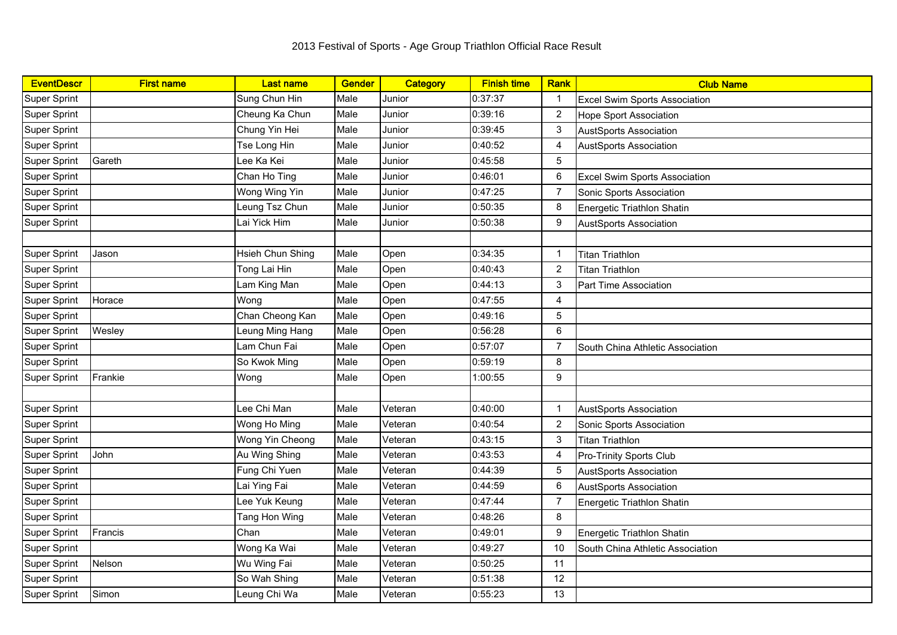| <b>EventDescr</b>   | <b>First name</b> | <b>Last name</b> | <b>Gender</b> | Category | <b>Finish time</b> | Rank           | <b>Club Name</b>                     |
|---------------------|-------------------|------------------|---------------|----------|--------------------|----------------|--------------------------------------|
| Super Sprint        |                   | Sung Chun Hin    | Male          | Junior   | 0:37:37            | -1             | <b>Excel Swim Sports Association</b> |
| Super Sprint        |                   | Cheung Ka Chun   | Male          | Junior   | 0:39:16            | 2              | <b>Hope Sport Association</b>        |
| <b>Super Sprint</b> |                   | Chung Yin Hei    | Male          | Junior   | 0:39:45            | 3              | <b>AustSports Association</b>        |
| Super Sprint        |                   | Tse Long Hin     | Male          | Junior   | 0:40:52            | 4              | <b>AustSports Association</b>        |
| <b>Super Sprint</b> | Gareth            | Lee Ka Kei       | Male          | Junior   | 0:45:58            | 5              |                                      |
| Super Sprint        |                   | Chan Ho Ting     | Male          | Junior   | 0:46:01            | 6              | Excel Swim Sports Association        |
| Super Sprint        |                   | Wong Wing Yin    | Male          | Junior   | 0:47:25            | 7              | Sonic Sports Association             |
| <b>Super Sprint</b> |                   | Leung Tsz Chun   | Male          | Junior   | 0:50:35            | 8              | <b>Energetic Triathlon Shatin</b>    |
| <b>Super Sprint</b> |                   | Lai Yick Him     | Male          | Junior   | 0:50:38            | 9              | <b>AustSports Association</b>        |
|                     |                   |                  |               |          |                    |                |                                      |
| <b>Super Sprint</b> | Jason             | Hsieh Chun Shing | Male          | Open     | 0:34:35            | 1              | <b>Titan Triathlon</b>               |
| Super Sprint        |                   | Tong Lai Hin     | Male          | Open     | 0:40:43            | 2              | <b>Titan Triathlon</b>               |
| <b>Super Sprint</b> |                   | Lam King Man     | Male          | Open     | 0:44:13            | 3              | Part Time Association                |
| <b>Super Sprint</b> | Horace            | Wong             | Male          | Open     | 0:47:55            | 4              |                                      |
| Super Sprint        |                   | Chan Cheong Kan  | Male          | Open     | 0:49:16            | 5              |                                      |
| Super Sprint        | Wesley            | Leung Ming Hang  | Male          | Open     | 0:56:28            | 6              |                                      |
| Super Sprint        |                   | Lam Chun Fai     | Male          | Open     | 0:57:07            | 7              | South China Athletic Association     |
| Super Sprint        |                   | So Kwok Ming     | Male          | Open     | 0:59:19            | 8              |                                      |
| <b>Super Sprint</b> | Frankie           | Wong             | Male          | Open     | 1:00:55            | 9              |                                      |
|                     |                   |                  |               |          |                    |                |                                      |
| <b>Super Sprint</b> |                   | Lee Chi Man      | Male          | Veteran  | 0:40:00            | $\mathbf 1$    | <b>AustSports Association</b>        |
| Super Sprint        |                   | Wong Ho Ming     | Male          | Veteran  | 0:40:54            | $\overline{2}$ | Sonic Sports Association             |
| <b>Super Sprint</b> |                   | Wong Yin Cheong  | Male          | Veteran  | 0:43:15            | 3              | <b>Titan Triathlon</b>               |
| Super Sprint        | John              | Au Wing Shing    | Male          | Veteran  | 0:43:53            | 4              | Pro-Trinity Sports Club              |
| Super Sprint        |                   | Fung Chi Yuen    | Male          | Veteran  | 0:44:39            | 5              | <b>AustSports Association</b>        |
| Super Sprint        |                   | Lai Ying Fai     | Male          | Veteran  | 0:44:59            | 6              | <b>AustSports Association</b>        |
| Super Sprint        |                   | Lee Yuk Keung    | Male          | Veteran  | 0:47:44            | 7              | Energetic Triathlon Shatin           |
| <b>Super Sprint</b> |                   | Tang Hon Wing    | Male          | Veteran  | 0:48:26            | 8              |                                      |
| Super Sprint        | Francis           | Chan             | Male          | Veteran  | 0:49:01            | 9              | <b>Energetic Triathlon Shatin</b>    |
| Super Sprint        |                   | Wong Ka Wai      | Male          | Veteran  | 0:49:27            | 10             | South China Athletic Association     |
| Super Sprint        | Nelson            | Wu Wing Fai      | Male          | Veteran  | 0:50:25            | 11             |                                      |
| <b>Super Sprint</b> |                   | So Wah Shing     | Male          | Veteran  | 0:51:38            | 12             |                                      |
| Super Sprint        | Simon             | Leung Chi Wa     | Male          | Veteran  | 0:55:23            | 13             |                                      |
|                     |                   |                  |               |          |                    |                |                                      |